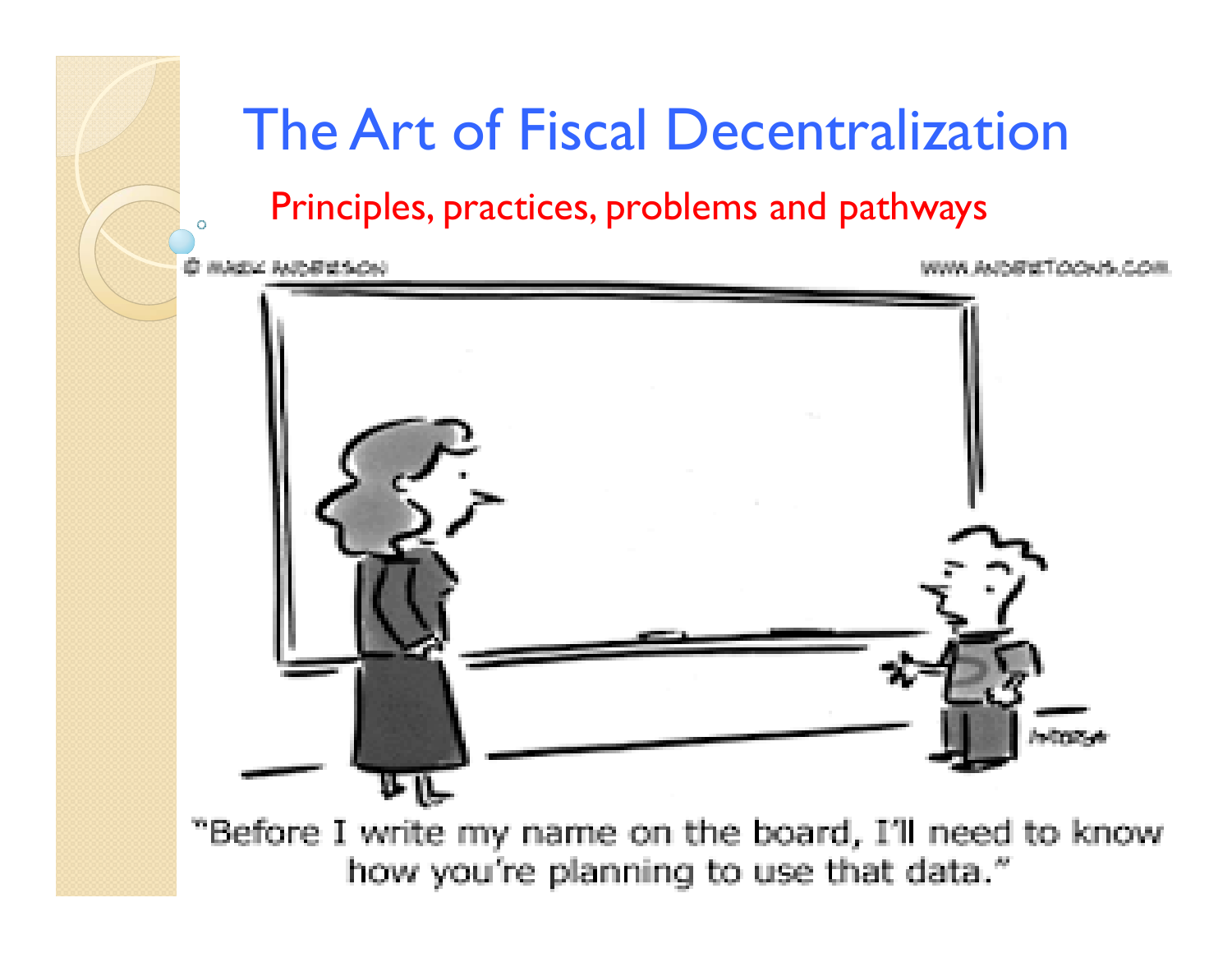

#### The Art of Fiscal Decentralization

Principles, practices, problems and pathways



"Before I write my name on the board, I'll need to know how you're planning to use that data."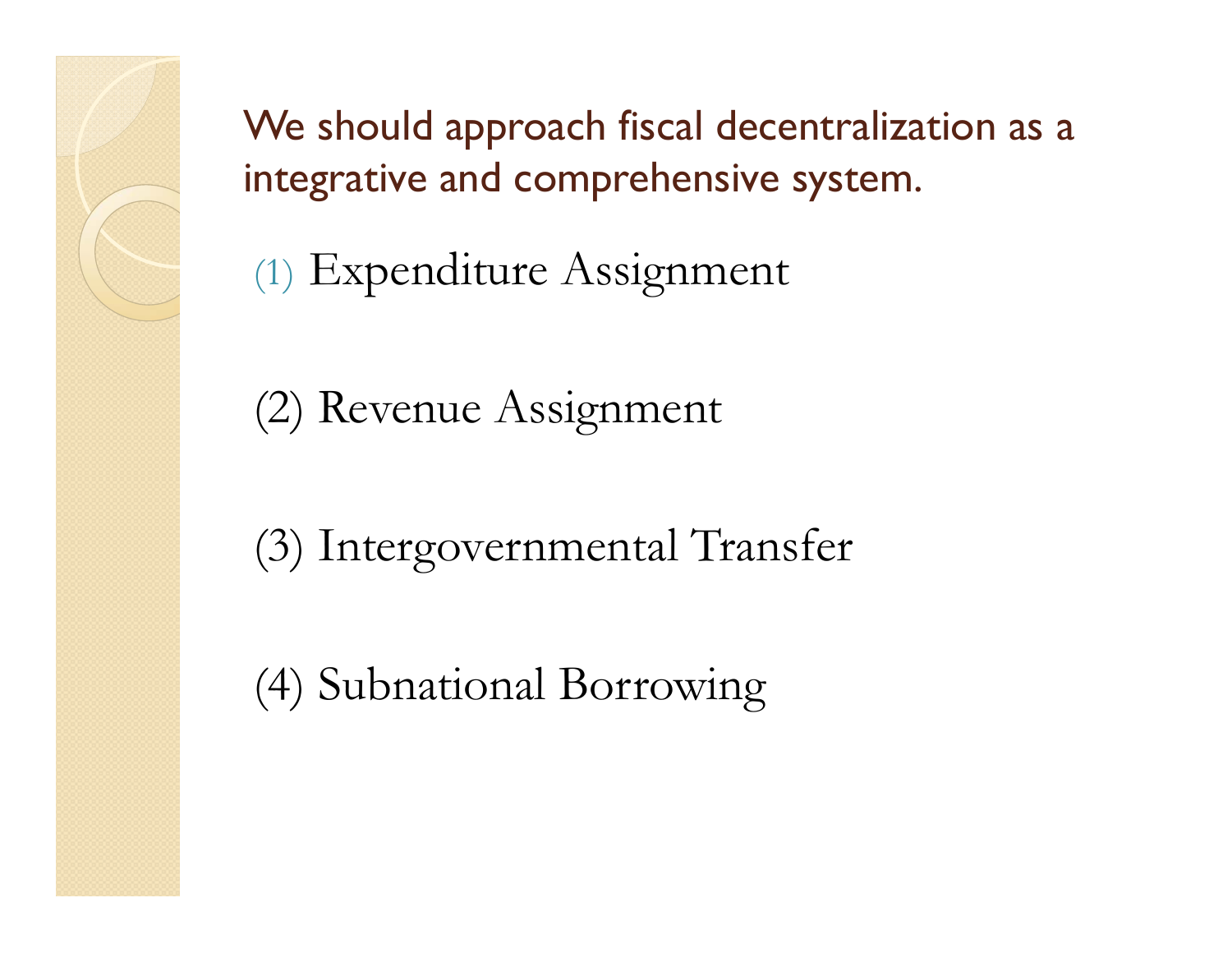We should approach fiscal decentralization as a integrative and comprehensive system.

(1) Expenditure Assignment

(2) Revenue Assignment

(3) Intergovernmental Transfer

(4) Subnational Borrowing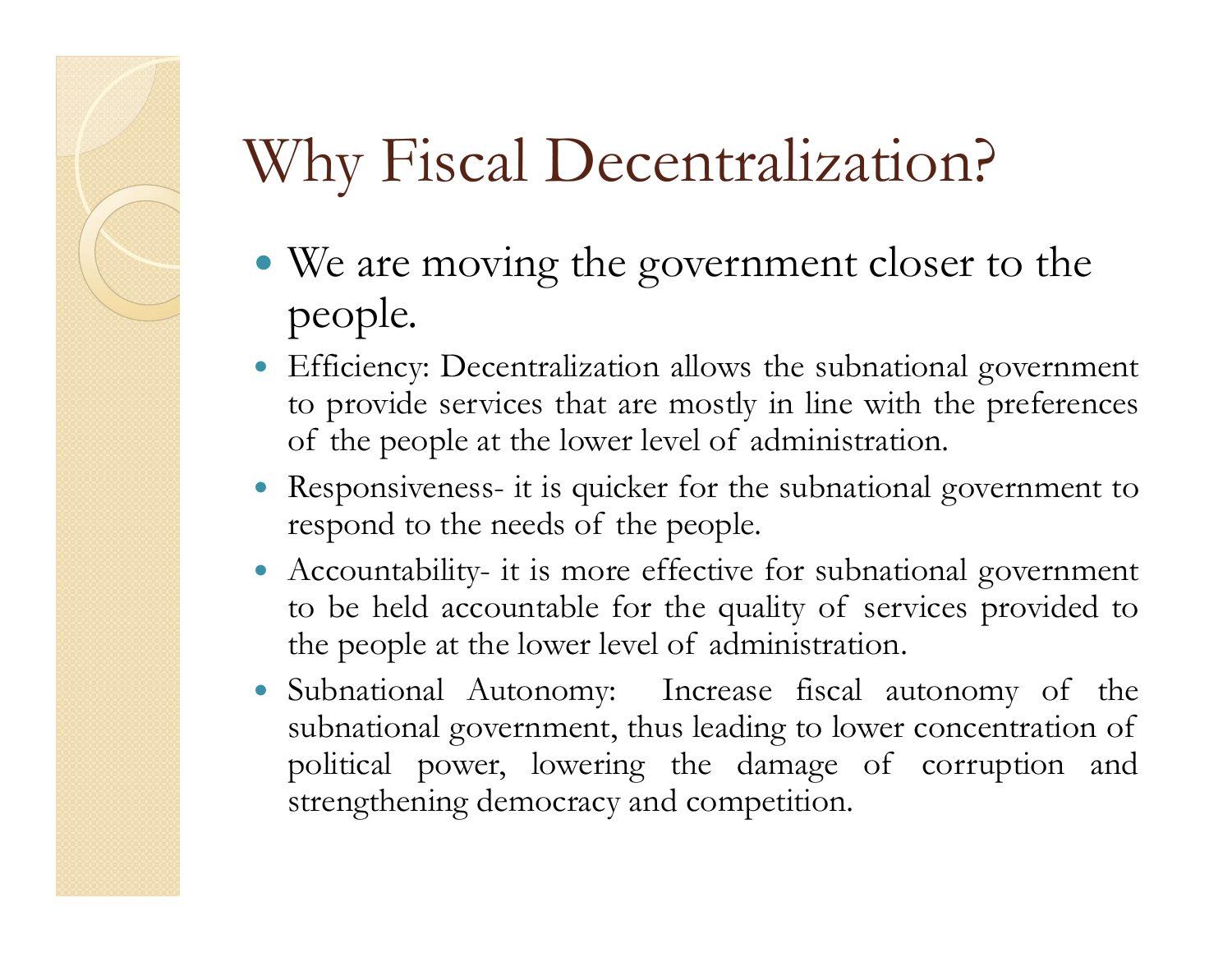#### Why Fiscal Decentralization?

- We are moving the government closer to the people.
- Efficiency: Decentralization allows the subnational government to provide services that are mostly in line with the preferences of the people at the lower level of administration.
- Responsiveness- it is quicker for the subnational government to respond to the needs of the people.
- Accountability- it is more effective for subnational government to be held accountable for the quality of services provided to the people at the lower level of administration.
- Subnational Autonomy: Increase fiscal autonomy of the subnational government, thus leading to lower concentration of political power, lowering the damage of corruption and strengthening democracy and competition.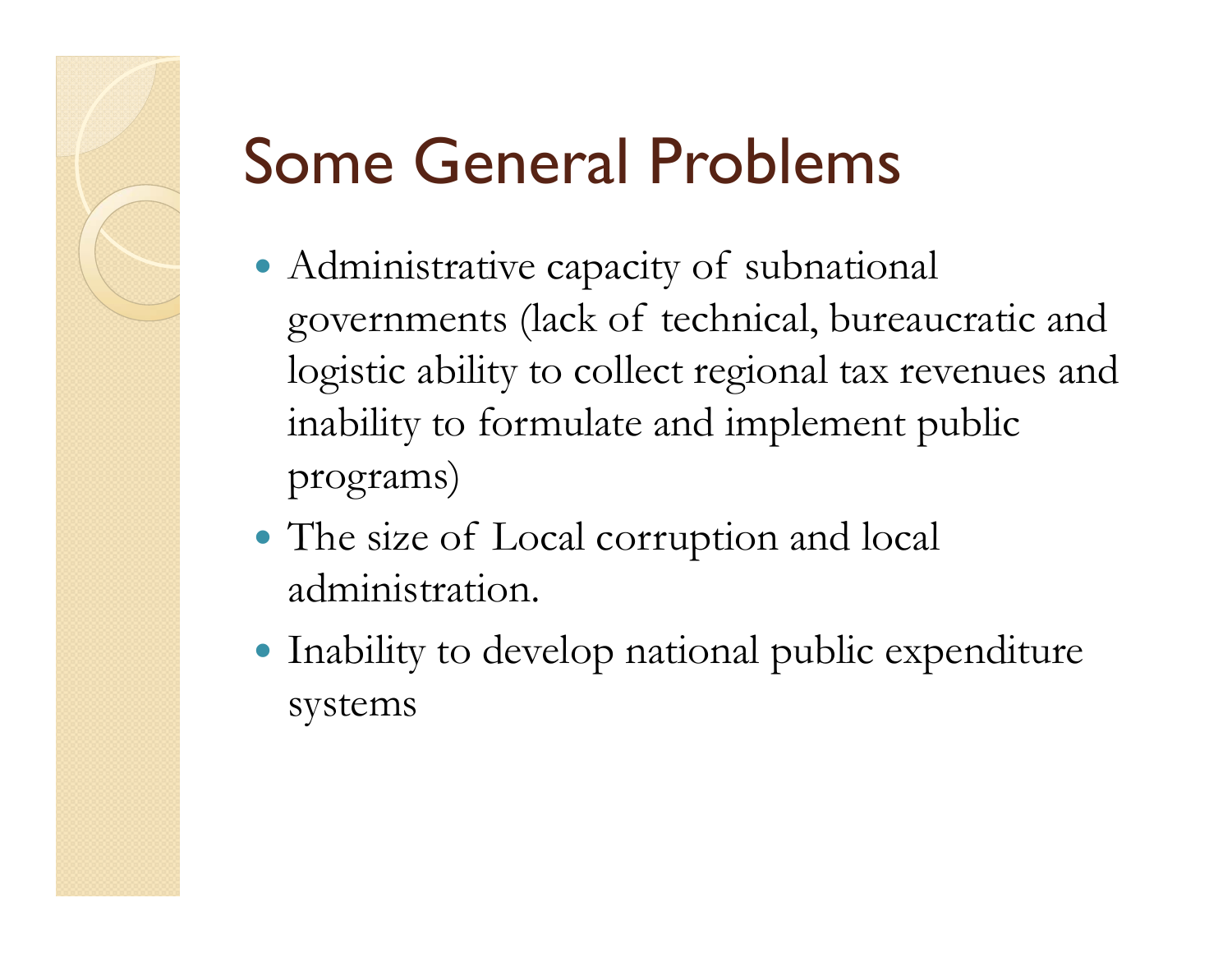# Some General Problems

- Administrative capacity of subnational governments (lack of technical, bureaucratic and logistic ability to collect regional tax revenues and inability to formulate and implement public programs)
- The size of Local corruption and local administration.
- Inability to develop national public expenditure systems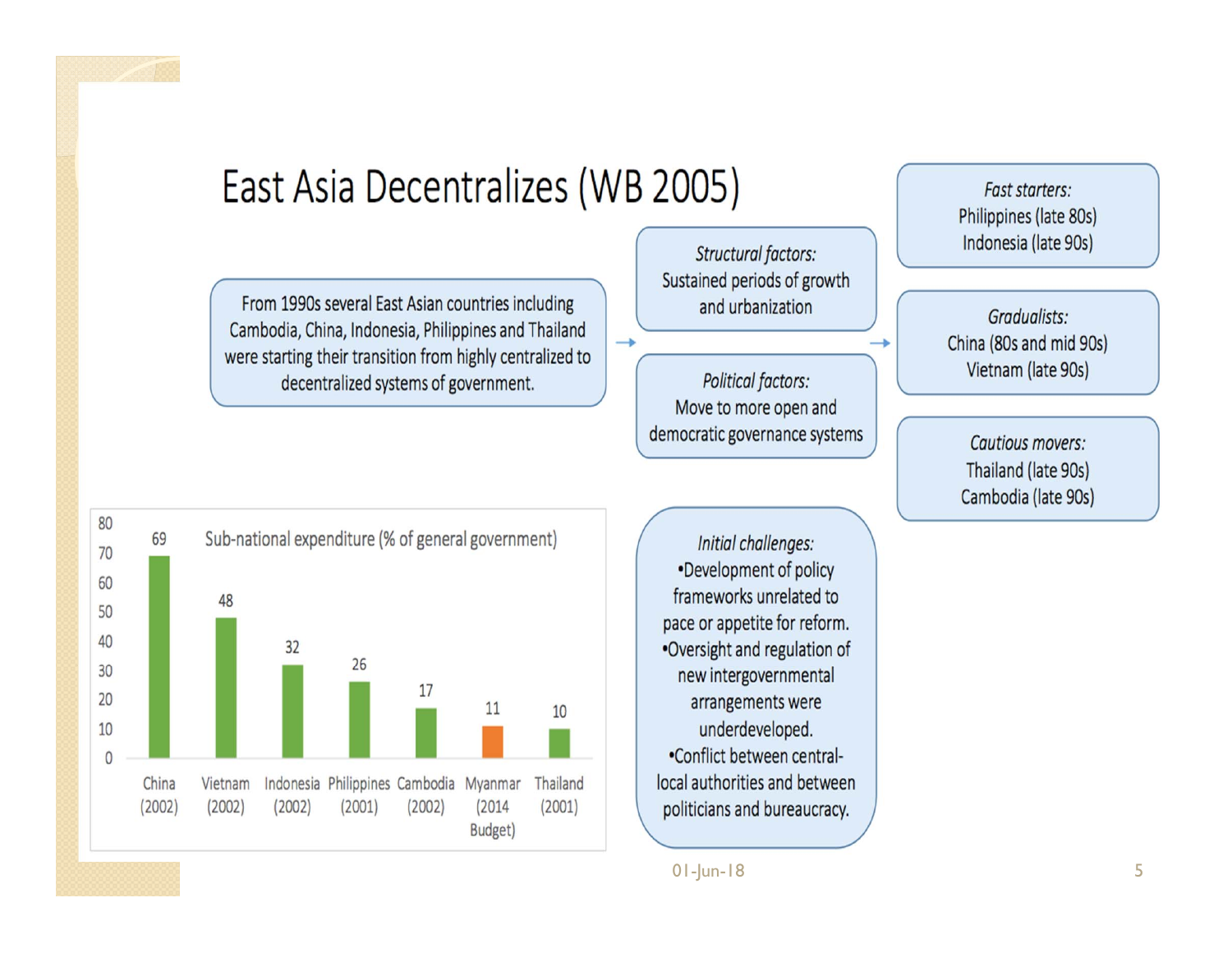#### East Asia Decentralizes (WB 2005)

From 1990s several East Asian countries including Cambodia, China, Indonesia, Philippines and Thailand were starting their transition from highly centralized to decentralized systems of government.

Structural factors: Sustained periods of growth and urbanization

 $\rightarrow$ 

**Political factors:** Move to more open and democratic governance systems →

Fast starters: Philippines (late 80s) Indonesia (late 90s)

Gradualists: China (80s and mid 90s) Vietnam (late 90s)

Cautious movers: Thailand (late 90s) Cambodia (late 90s)



Initial challenges: •Development of policy frameworks unrelated to pace or appetite for reform. .Oversight and regulation of new intergovernmental arrangements were underdeveloped. •Conflict between centrallocal authorities and between politicians and bureaucracy.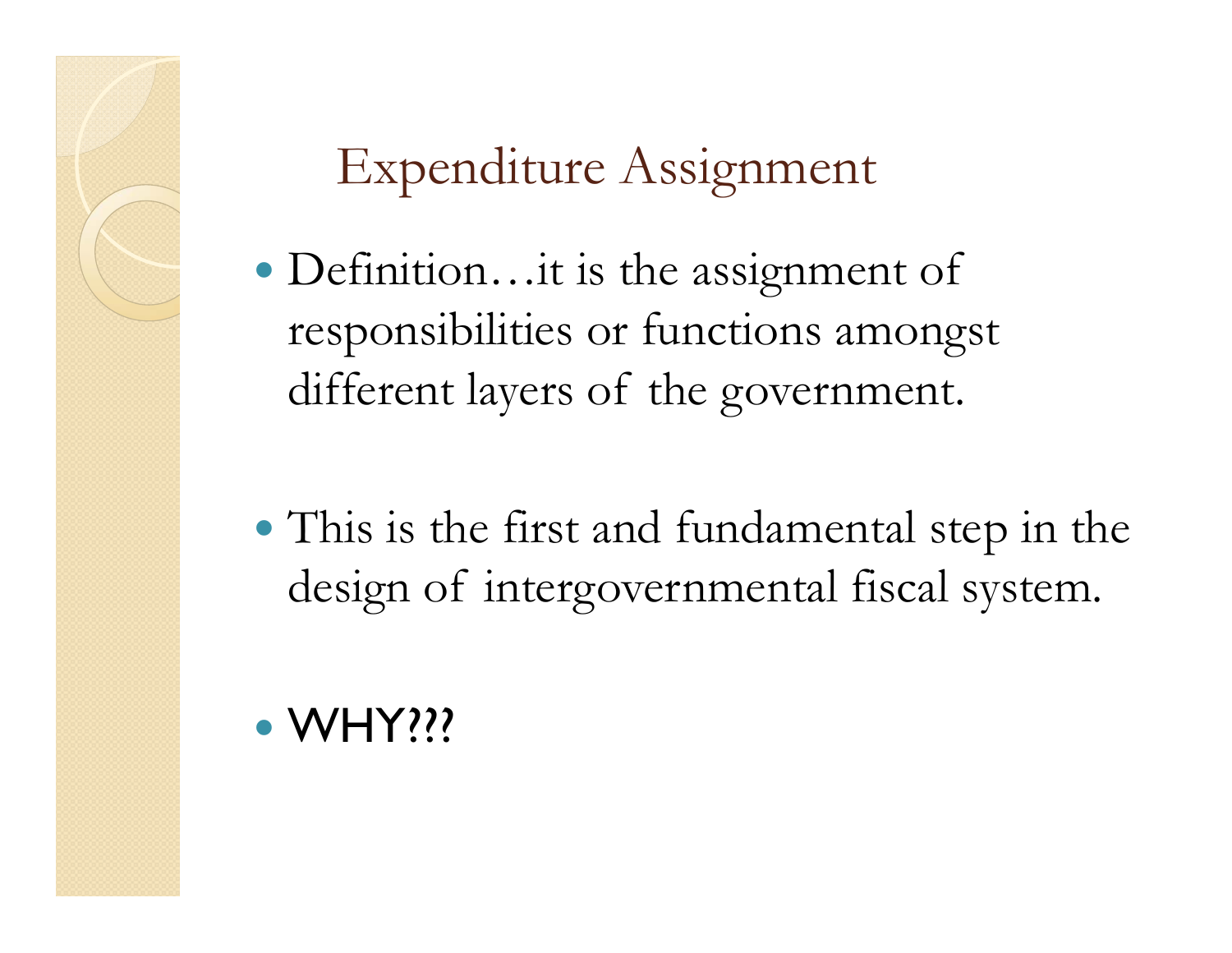#### Expenditure Assignment

- Definition…it is the assignment of responsibilities or functions amongst different layers of the government.
- This is the first and fundamental step in the design of intergovernmental fiscal system.

#### • WHY???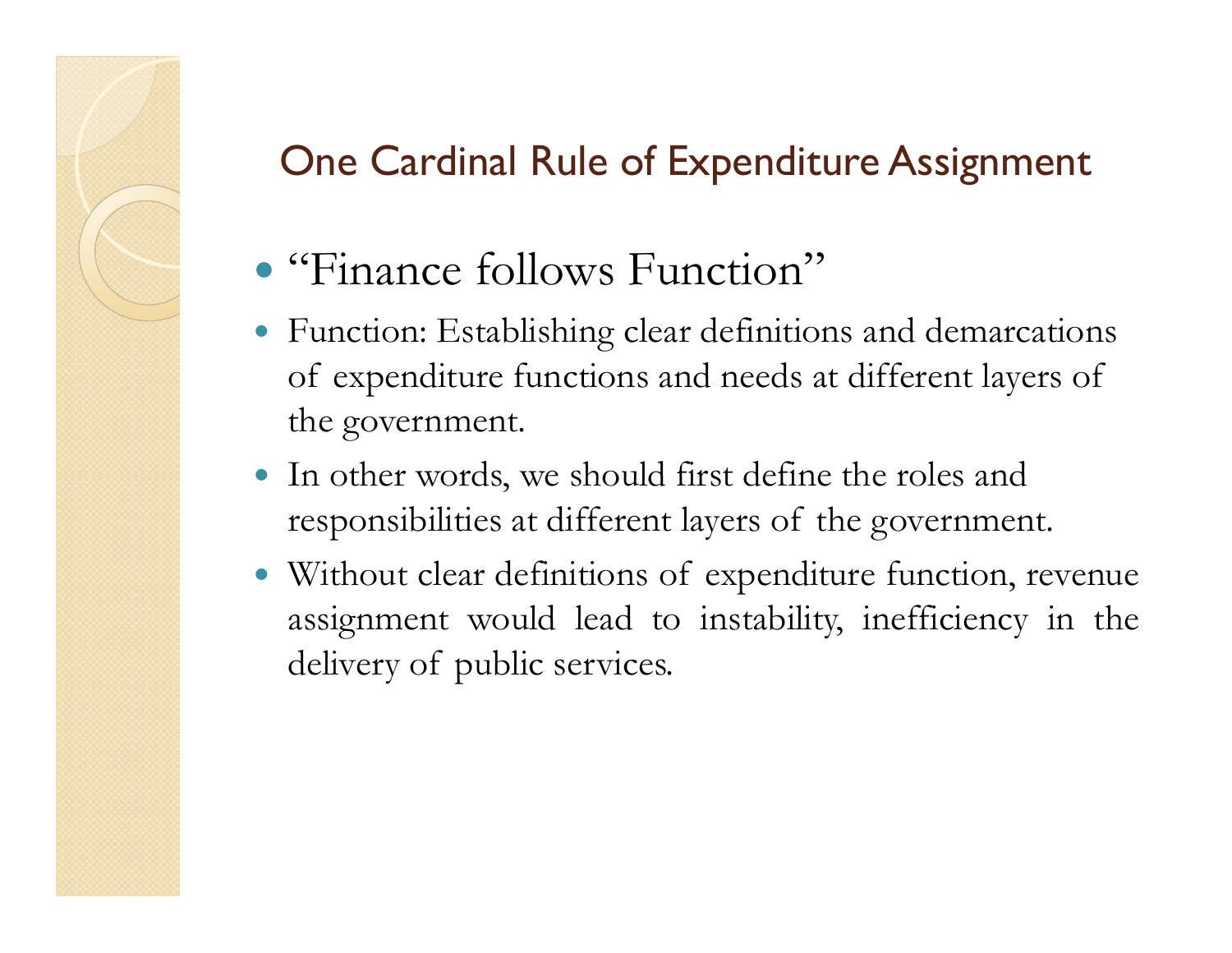#### One Cardinal Rule of Expenditure Assignment

- "Finance follows Function"
- Function: Establishing clear definitions and demarcations of expenditure functions and needs at different layers of the government.
- In other words, we should first define the roles and responsibilities at different layers of the government.
- Without clear definitions of expenditure function, revenue assignment would lead to instability, inefficiency in the delivery of public services.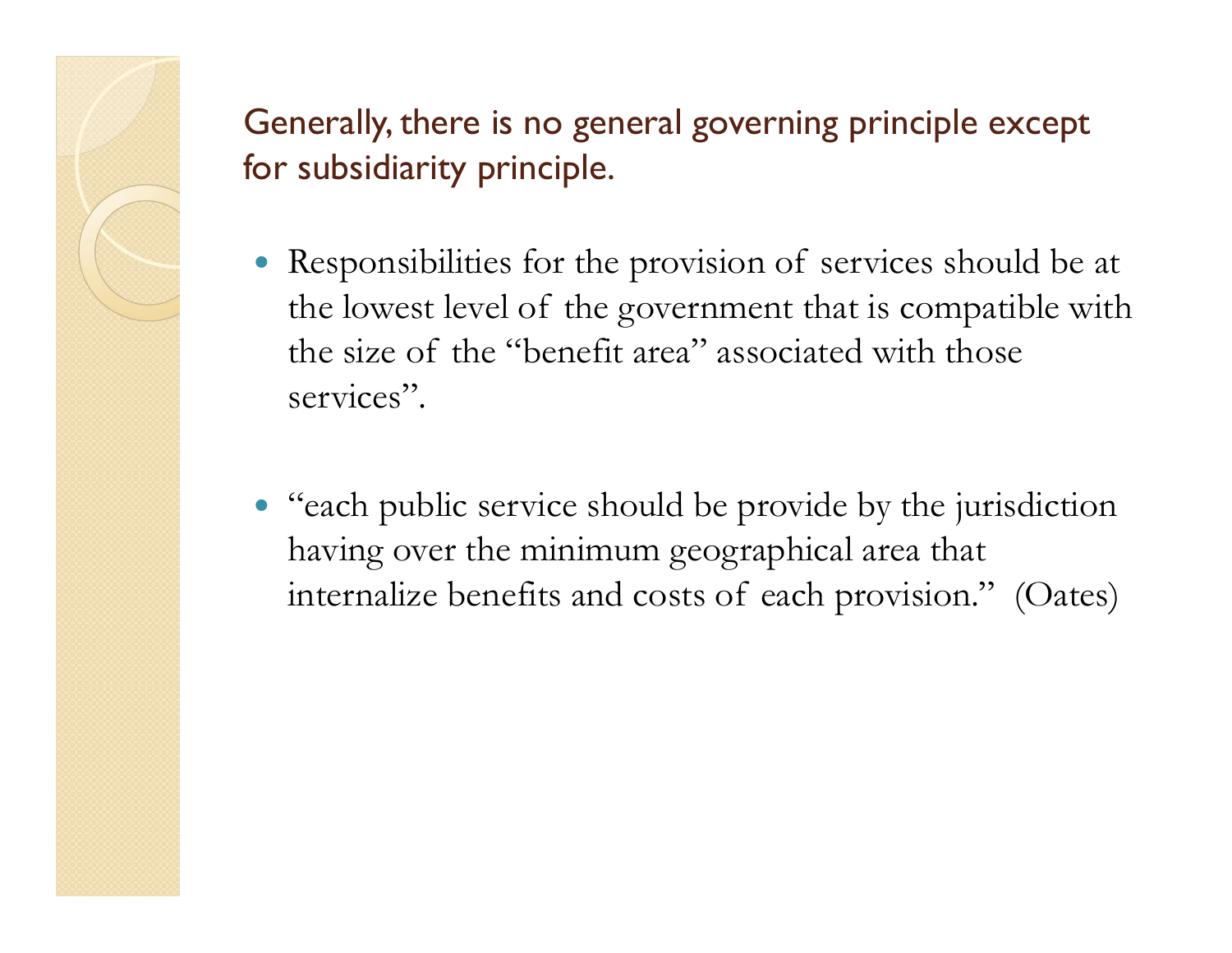Generally, there is no general governing principle except for subsidiarity principle.

- Responsibilities for the provision of services should be at the lowest level of the government that is compatible with the size of the "benefit area" associated with those services".
- "each public service should be provide by the jurisdiction having over the minimum geographical area that internalize benefits and costs of each provision." (Oates)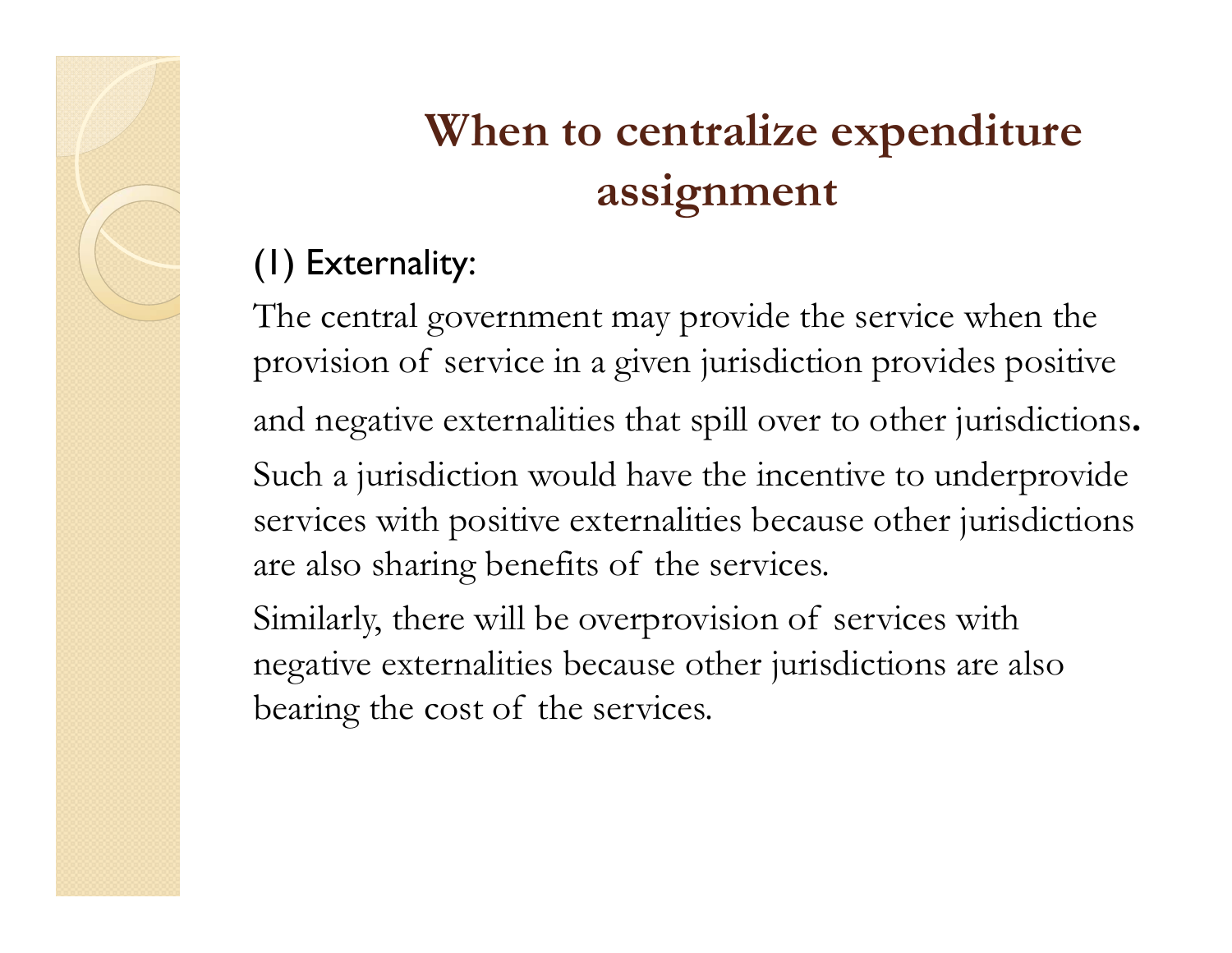#### **When to centralize expenditure assignment**

#### (1) Externality:

The central government may provide the service when the provision of service in a given jurisdiction provides positive and negative externalities that spill over to other jurisdictions. Such a jurisdiction would have the incentive to underprovide services with positive externalities because other jurisdictions are also sharing benefits of the services.

Similarly, there will be overprovision of services with negative externalities because other jurisdictions are also bearing the cost of the services.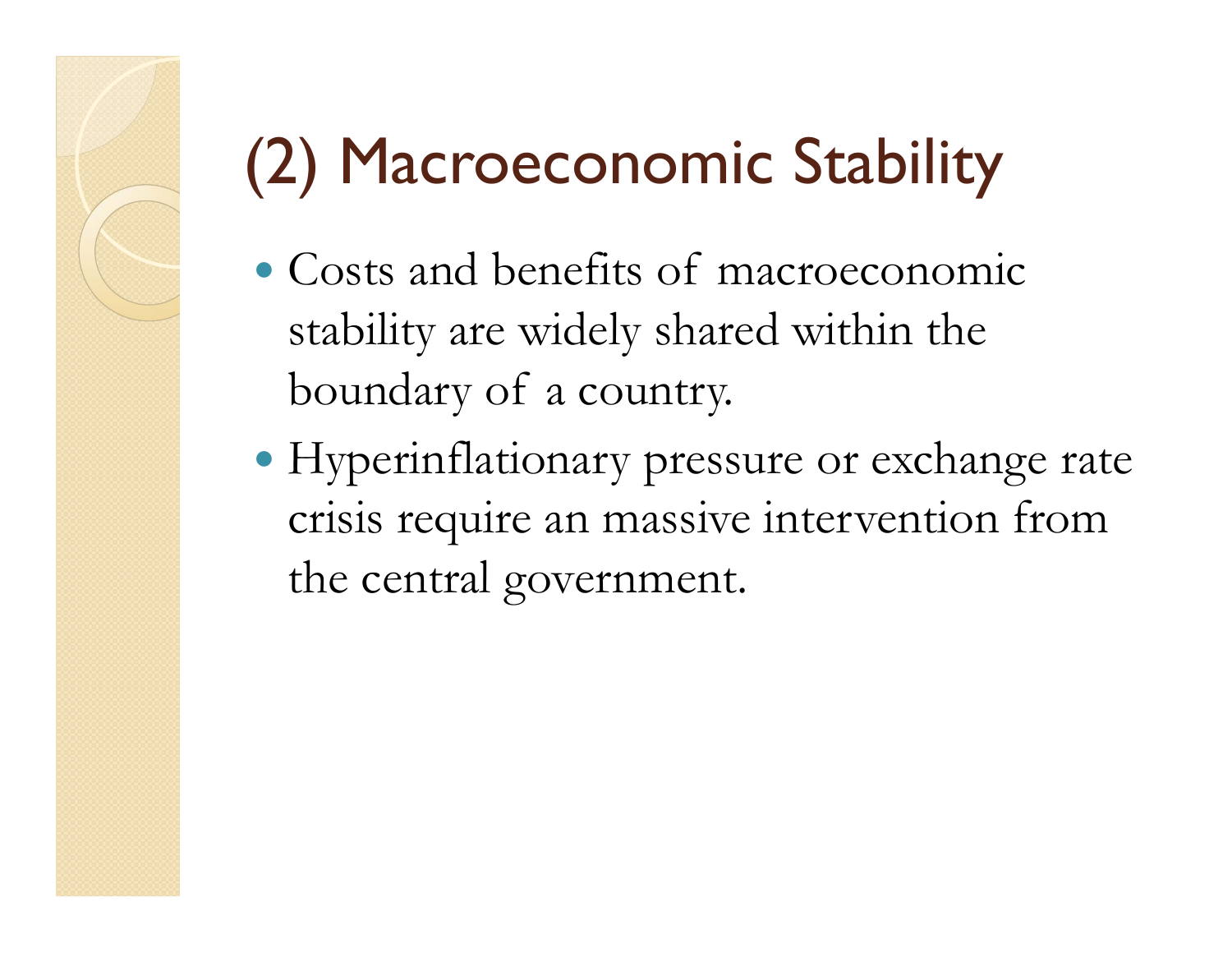# (2) Macroeconomic Stability

- Costs and benefits of macroeconomic stability are widely shared within the boundary of a country.
- Hyperinflationary pressure or exchange rate crisis require an massive intervention from the central government.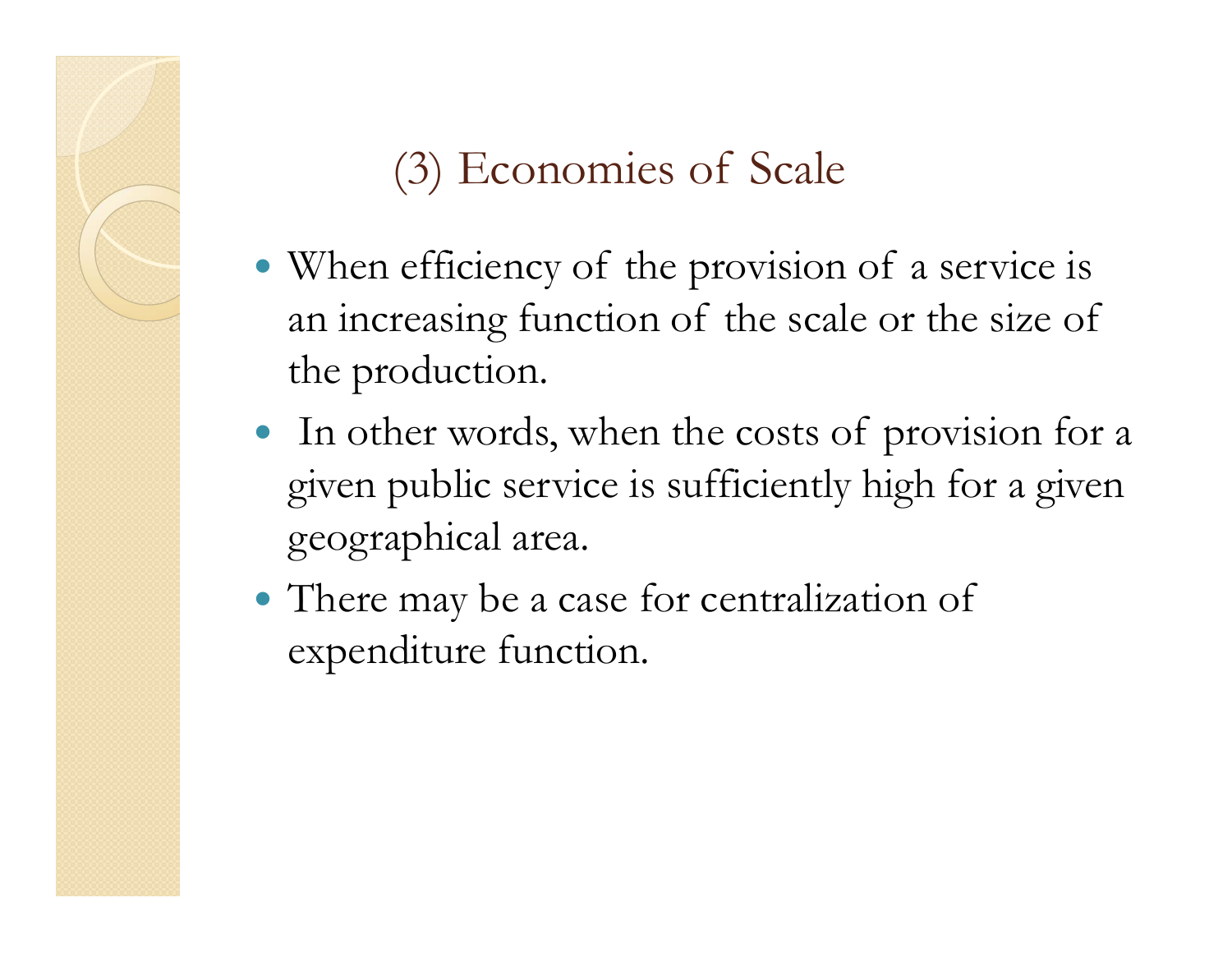#### (3) Economies of Scale

- When efficiency of the provision of a service is an increasing function of the scale or the size of the production.
- In other words, when the costs of provision for a given public service is sufficiently high for a given geographical area.
- There may be a case for centralization of expenditure function.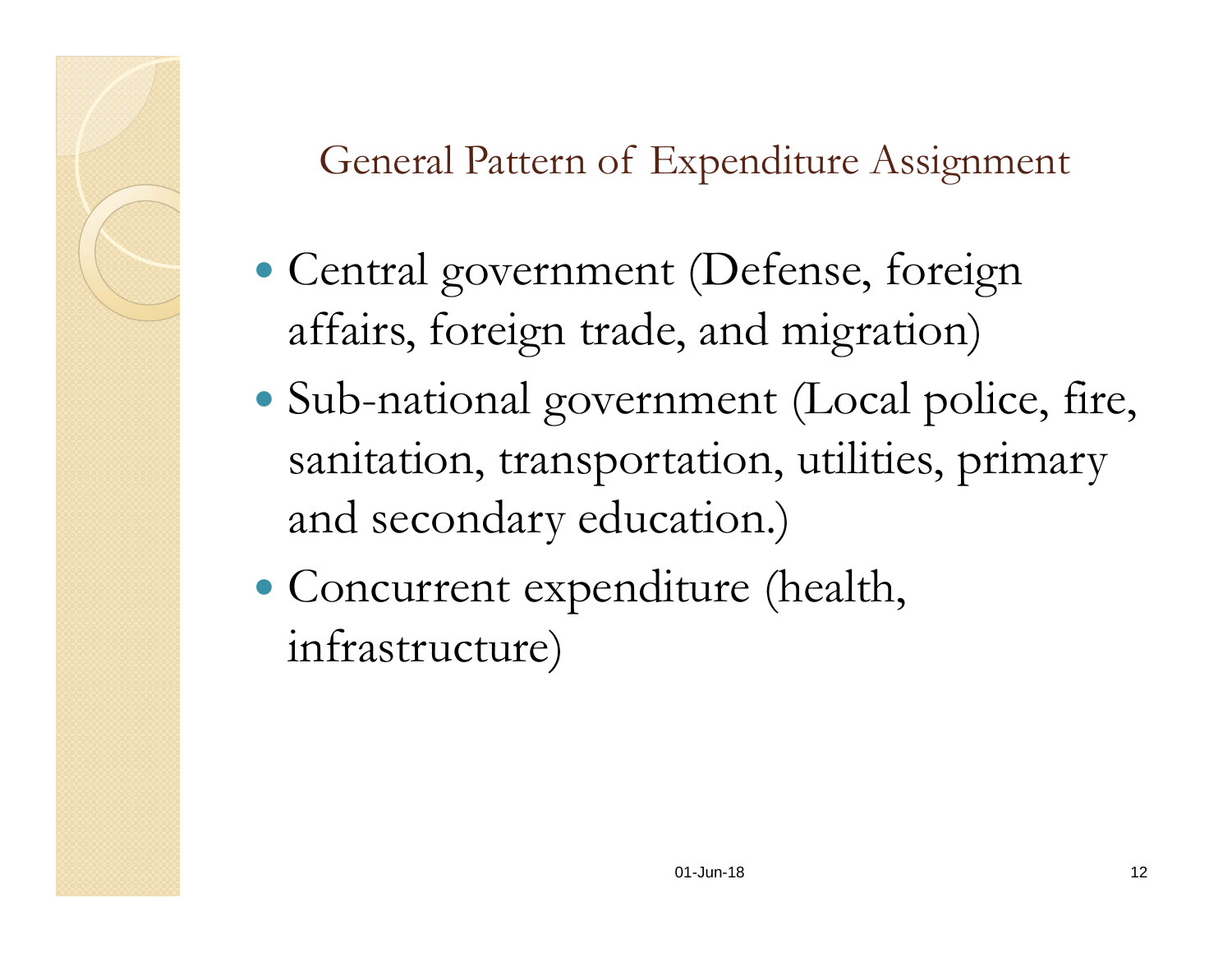General Pattern of Expenditure Assignment

- Central government (Defense, foreign affairs, foreign trade, and migration)
- Sub-national government (Local police, fire, sanitation, transportation, utilities, primary and secondary education.)
- Concurrent expenditure (health, infrastructure)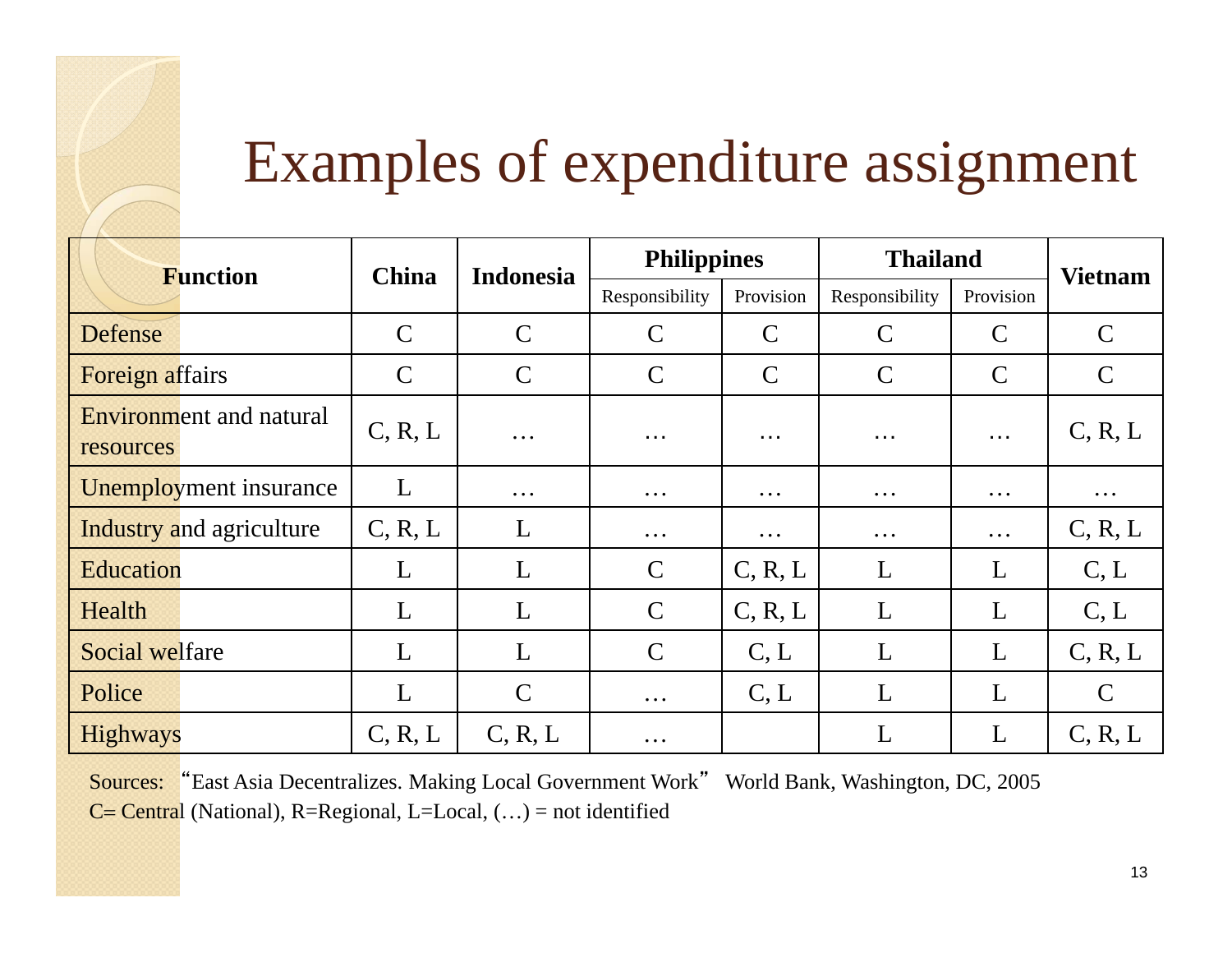

#### Examples of expenditure assignment

| <b>Function</b>                             | <b>China</b>  | <b>Indonesia</b> | <b>Philippines</b> |               | <b>Thailand</b> |                      | <b>Vietnam</b> |
|---------------------------------------------|---------------|------------------|--------------------|---------------|-----------------|----------------------|----------------|
|                                             |               |                  | Responsibility     | Provision     | Responsibility  | Provision            |                |
| Defense                                     | $\mathcal{C}$ | $\mathcal{C}$    | $\mathsf{C}$       | $\mathcal{C}$ | $\mathcal{C}$   | $\mathcal{C}$        | $\mathcal{C}$  |
| <b>Foreign affairs</b>                      | $\mathcal{C}$ | $\mathcal{C}$    | $\mathsf{C}$       | $\mathcal{C}$ | $\mathsf{C}$    | $\mathsf{C}$         | $\mathsf{C}$   |
| <b>Environment</b> and natural<br>resources | C, R, L       | $\ddotsc$        | .                  | .             | $\cdots$        | $\sim$ $\sim$ $\sim$ | C, R, L        |
| <b>Unemployment</b> insurance               | L             | $\cdots$         | $\cdots$           | $\cdots$      | $\cdots$        | $\cdots$             | $\ddotsc$      |
| <b>Industry and agriculture</b>             | C, R, L       | L                | $\cdots$           | $\cdots$      | $\cdots$        | $\cdots$             | C, R, L        |
| <b>Education</b>                            | L             | L                | $\mathcal{C}$      | C, R, L       | L               | L                    | C, L           |
| Health                                      | L             | L                | $\mathcal{C}$      | C, R, L       | L               | L                    | C, L           |
| Social welfare                              | L             | L                | $\mathcal{C}$      | C, L          | L               | L                    | C, R, L        |
| Police                                      | L             | $\mathcal{C}$    | $\cdots$           | C, L          | L               | L                    | $\mathcal{C}$  |
| <b>Highways</b>                             | C, R, L       | C, R, L          | $\cdots$           |               | L               | L                    | C, R, L        |

Sources: "East Asia Decentralizes. Making Local Government Work" World Bank, Washington, DC, 2005  $C = Central$  (National), R=Regional, L=Local,  $(...)$  = not identified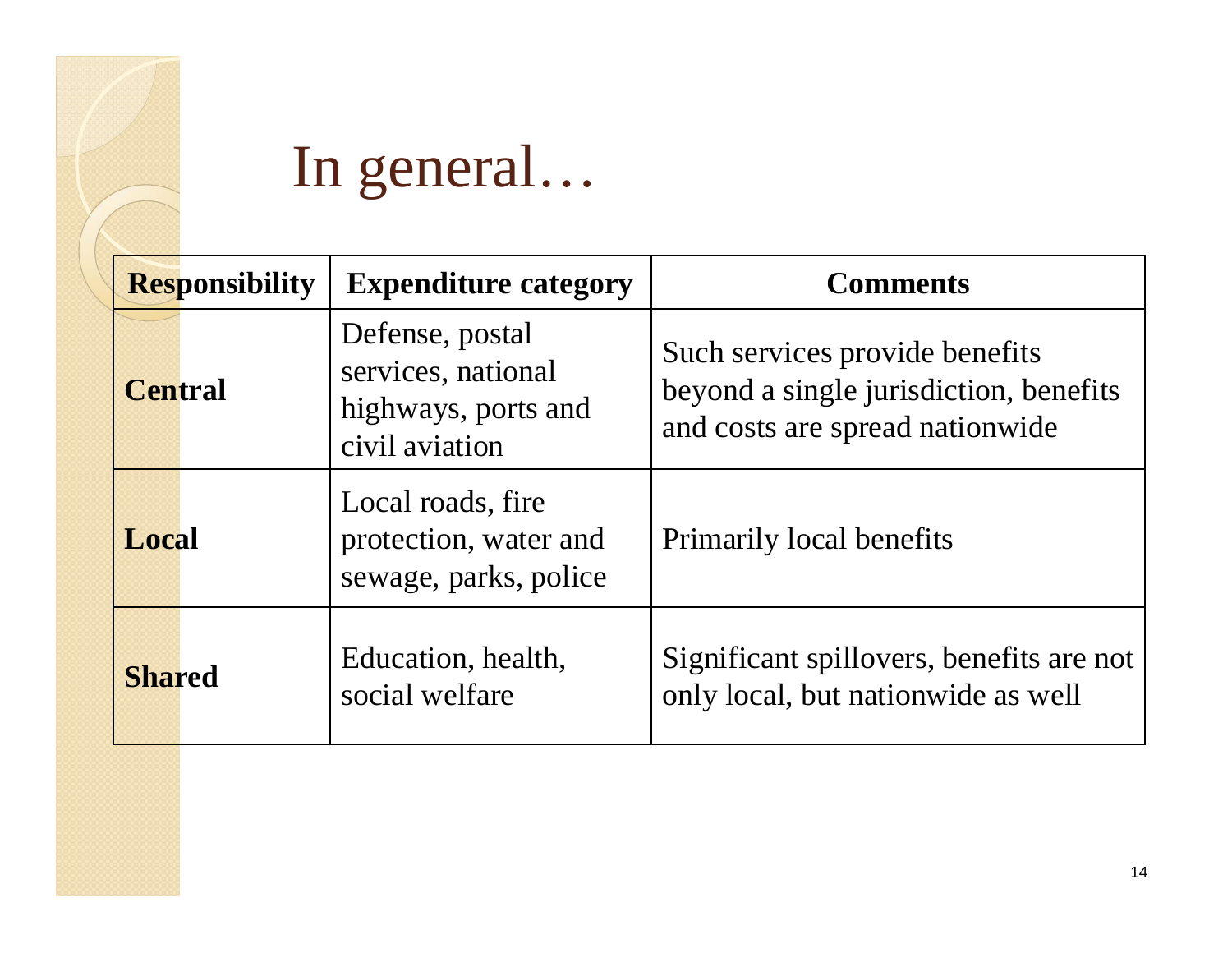

#### In general…

| <b>Responsibility</b> | <b>Expenditure category</b>                                                    | <b>Comments</b>                                                                                             |
|-----------------------|--------------------------------------------------------------------------------|-------------------------------------------------------------------------------------------------------------|
| <b>Central</b>        | Defense, postal<br>services, national<br>highways, ports and<br>civil aviation | Such services provide benefits<br>beyond a single jurisdiction, benefits<br>and costs are spread nationwide |
| Local                 | Local roads, fire<br>protection, water and<br>sewage, parks, police            | Primarily local benefits                                                                                    |
| <b>Shared</b>         | Education, health,<br>social welfare                                           | Significant spillovers, benefits are not<br>only local, but nationwide as well                              |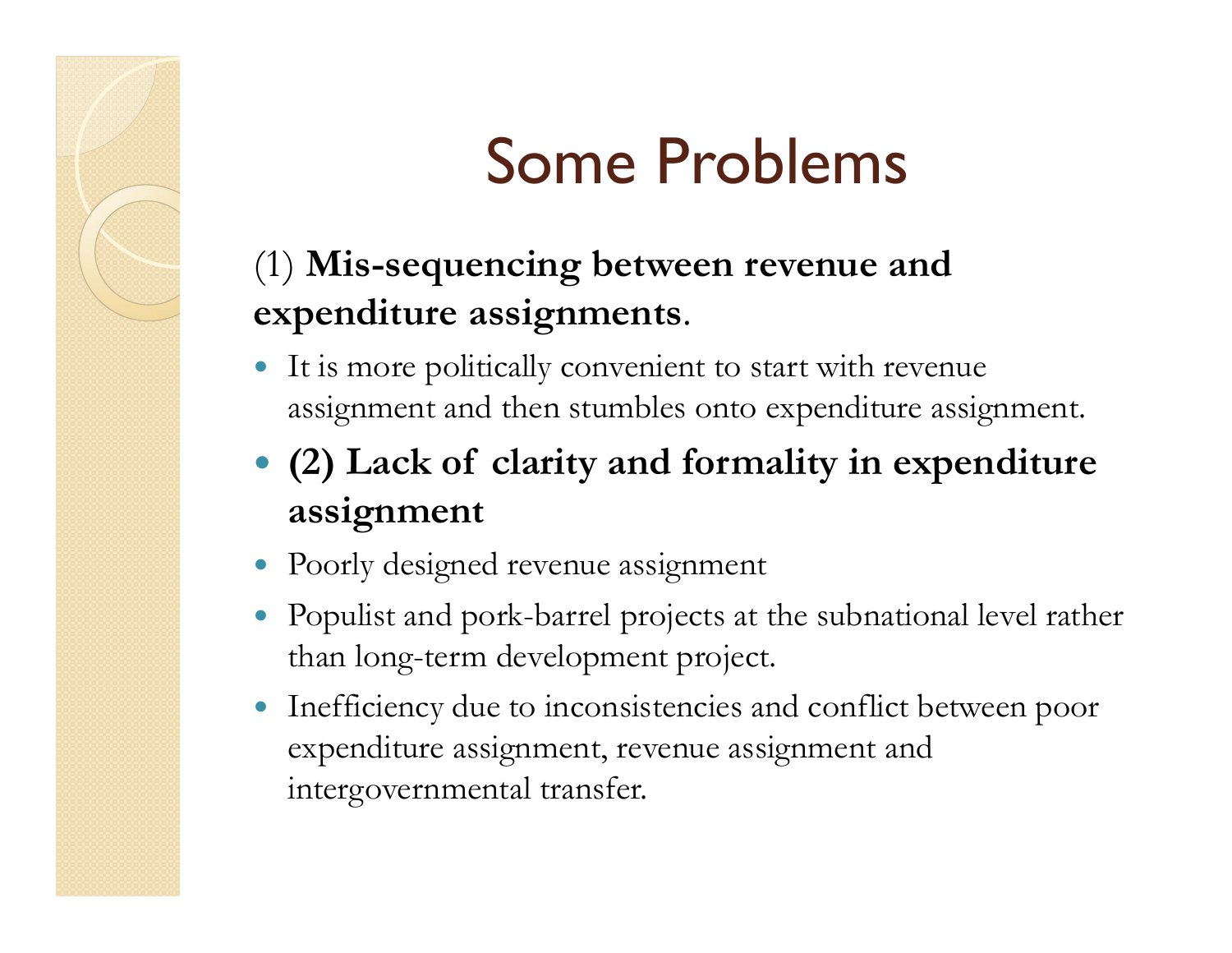# Some Problems

#### (1) **Mis-sequencing between revenue and expenditure assignments**.

- $\bullet$  It is more politically convenient to start with revenue assignment and then stumbles onto expenditure assignment.
- **(2) Lack of clarity and formality in expenditure assignment**
- Poorly designed revenue assignment
- Populist and pork-barrel projects at the subnational level rather than long-term development project.
- Inefficiency due to inconsistencies and conflict between poor expenditure assignment, revenue assignment and intergovernmental transfer.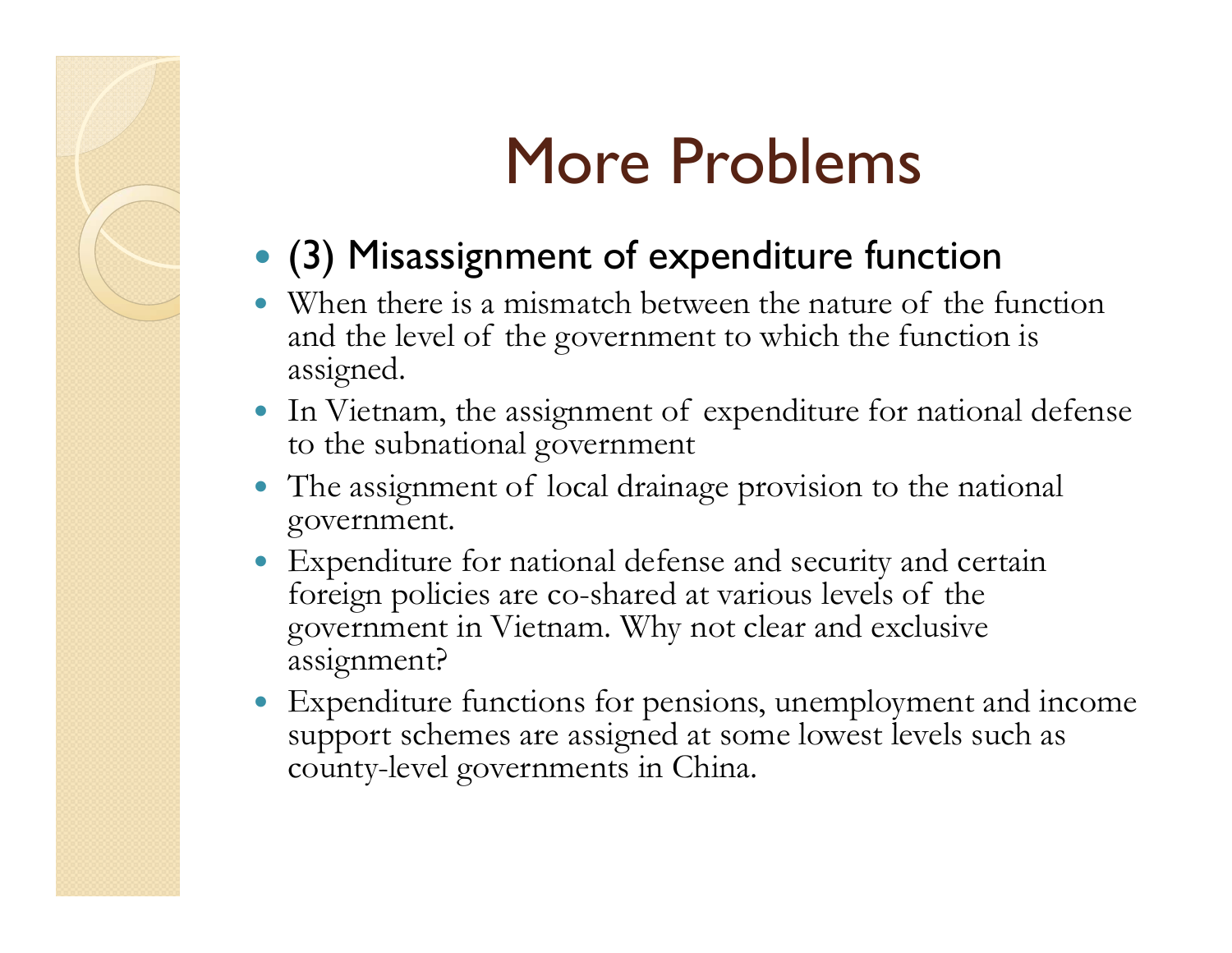## More Problems

- (3) Misassignment of expenditure function
- $\bullet$  When there is a mismatch between the nature of the function and the level of the government to which the function is assigned.
- In Vietnam, the assignment of expenditure for national defense to the subnational government
- $\bullet$  The assignment of local drainage provision to the national government.
- $\bullet$  Expenditure for national defense and security and certain foreign policies are co-shared at various levels of the government in Vietnam. Why not clear and exclusive assignment?
- Expenditure functions for pensions, unemployment and income support schemes are assigned at some lowest levels such as county-level governments in China.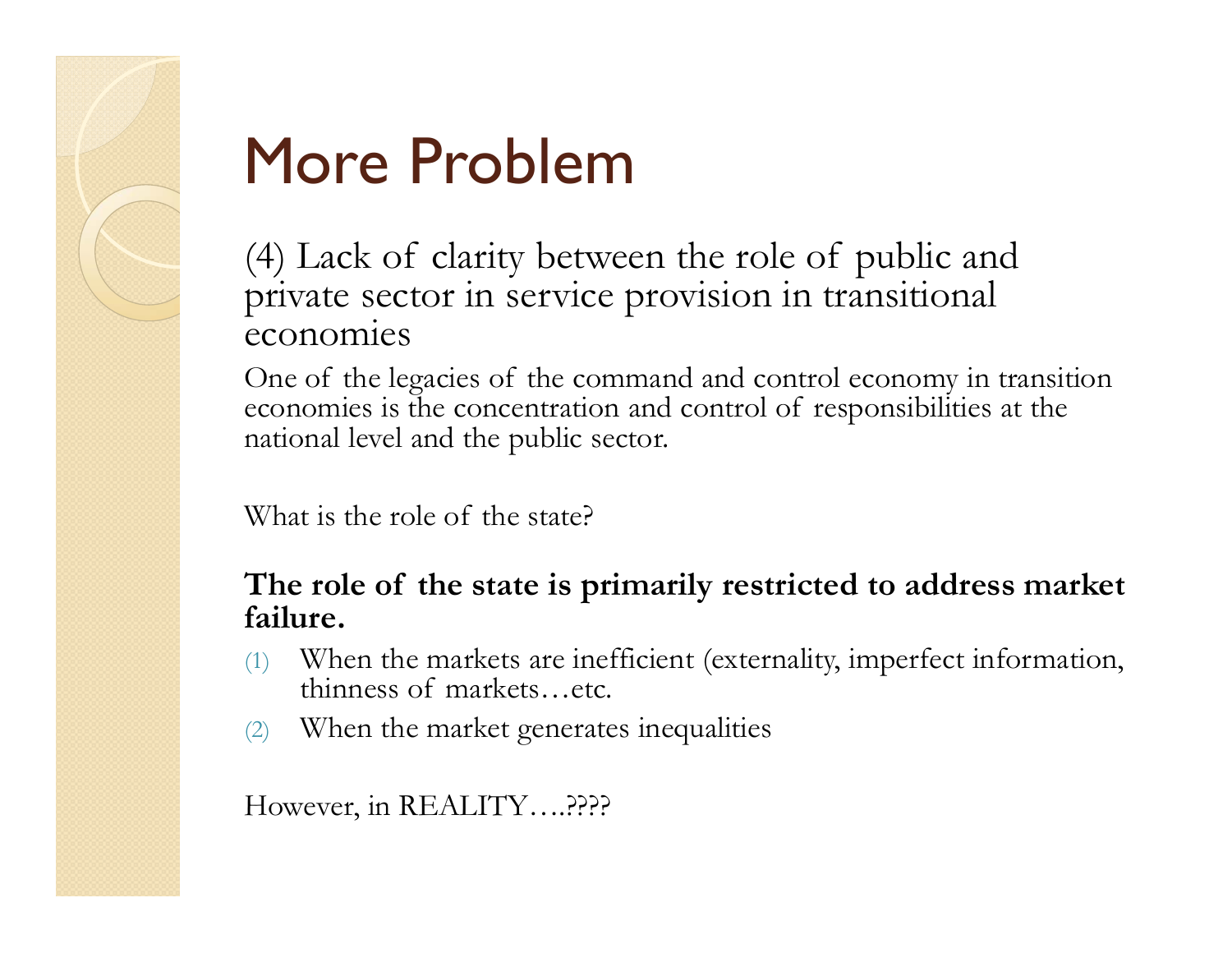

## More Problem

(4) Lack of clarity between the role of public and private sector in service provision in transitional economies

One of the legacies of the command and control economy in transition economies is the concentration and control of responsibilities at the national level and the public sector.

What is the role of the state?

#### **The role of the state is primarily restricted to address market failure.**

- (1) When the markets are inefficient (externality, imperfect information, thinness of markets…etc.
- (2) When the market generates inequalities

However, in REALITY….????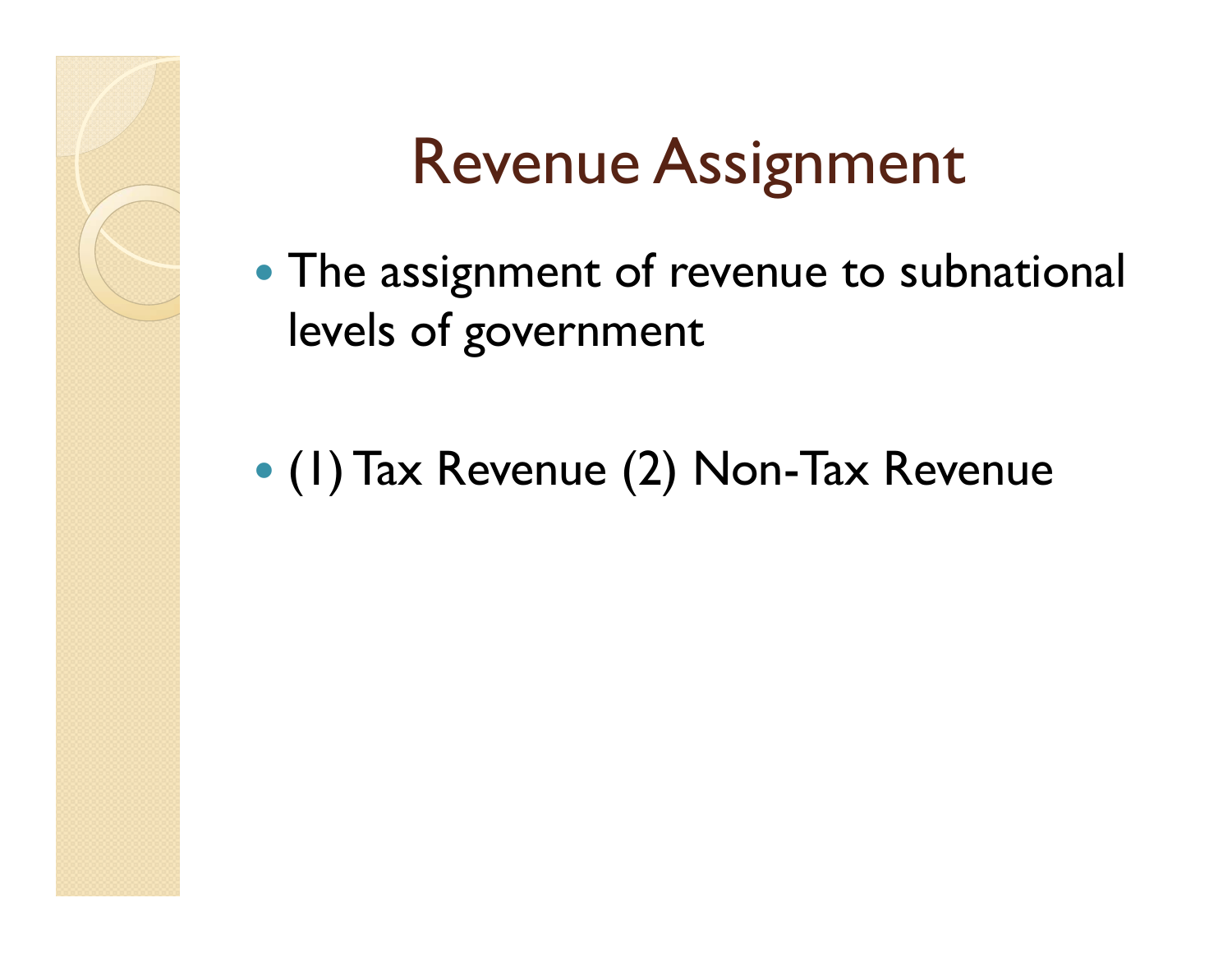# Revenue Assignment

- The assignment of revenue to subnational levels of government
- (1) Tax Revenue (2) Non-Tax Revenue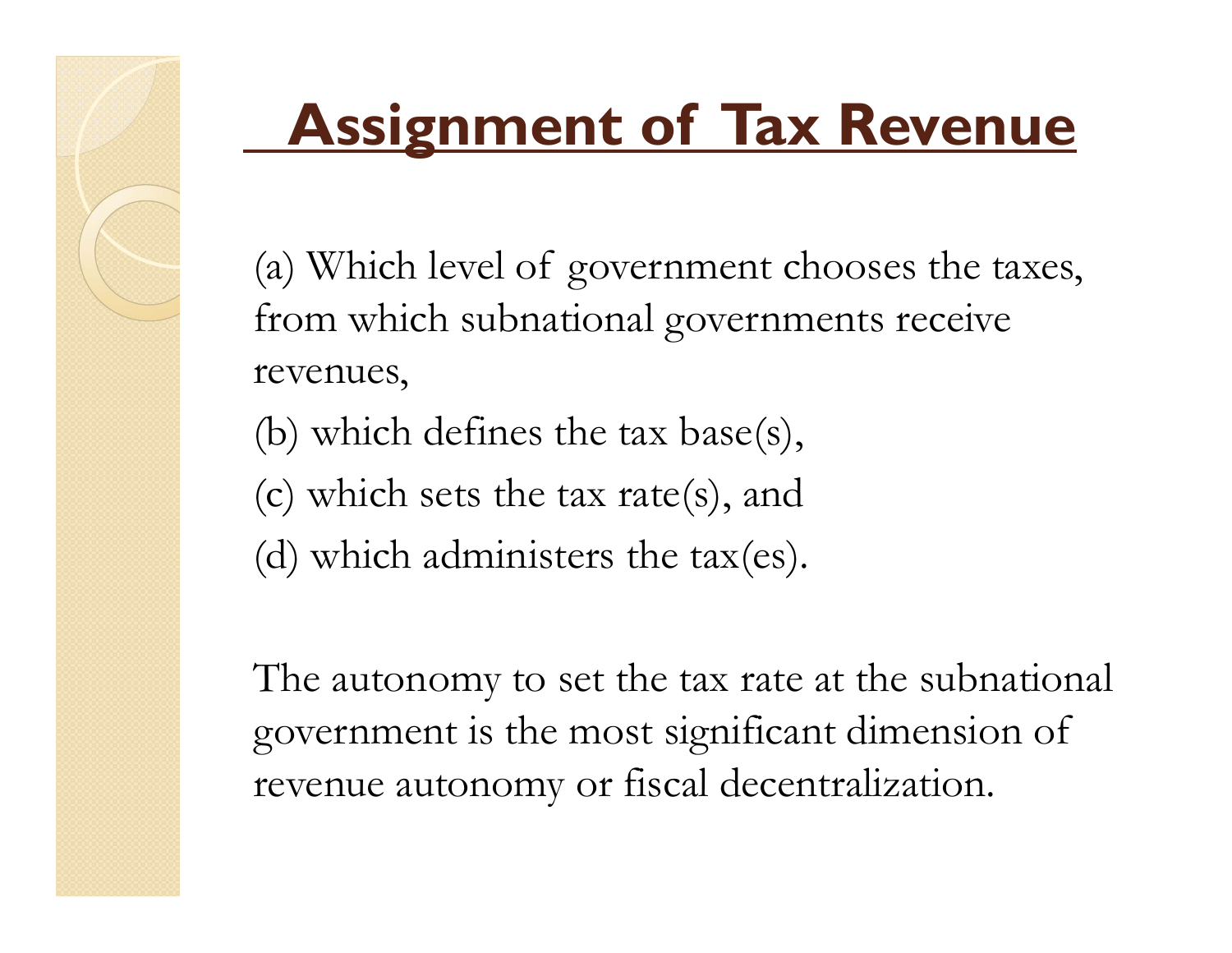## **Assignment of Tax Revenue**

(a) Which level of government chooses the taxes, from which subnational governments receive revenues,

(b) which defines the tax base(s),

(c) which sets the tax rate(s), and

(d) which administers the tax(es).

The autonomy to set the tax rate at the subnational government is the most significant dimension of revenue autonomy or fiscal decentralization.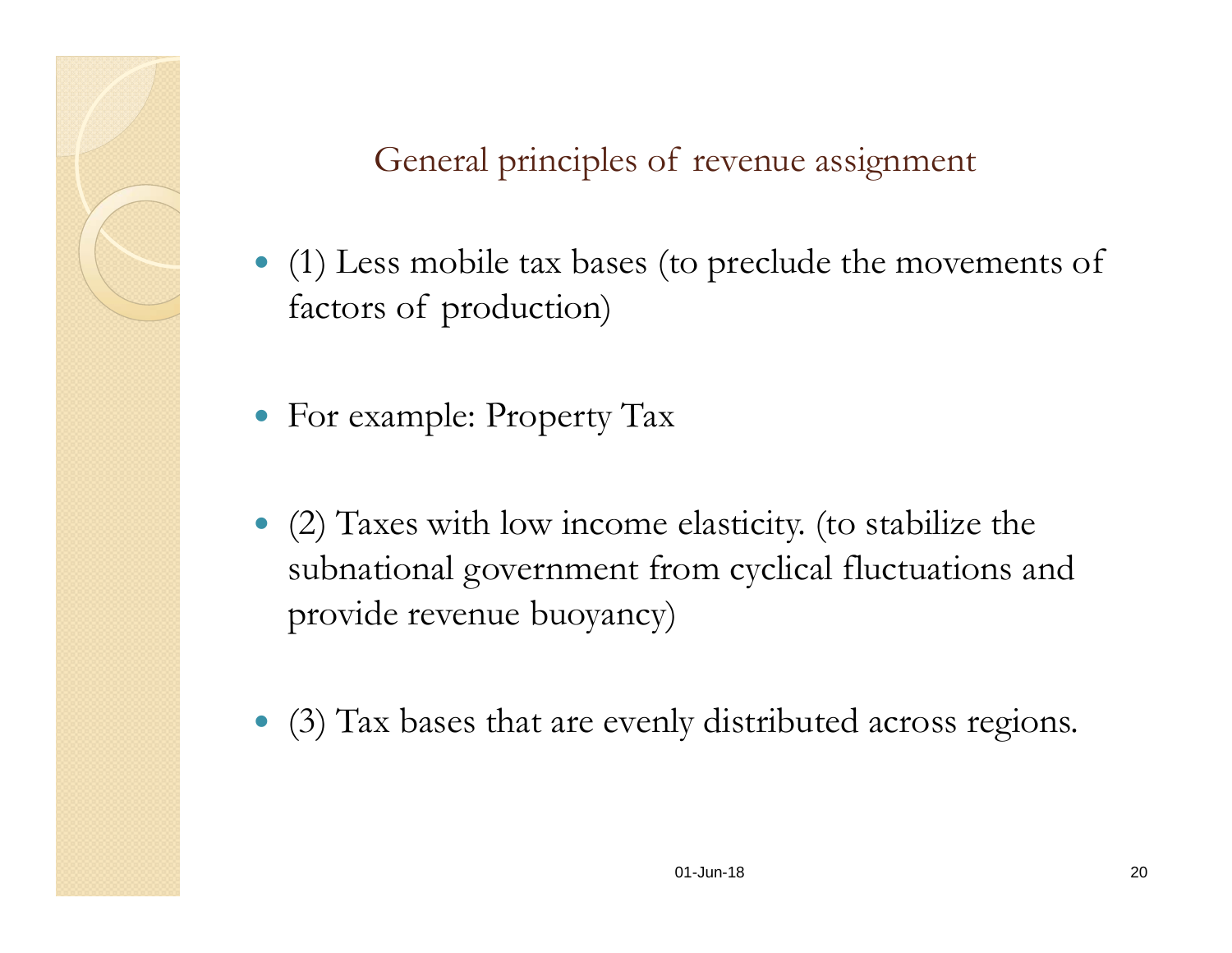General principles of revenue assignment

- (1) Less mobile tax bases (to preclude the movements of factors of production)
- For example: Property Tax
- (2) Taxes with low income elasticity. (to stabilize the subnational government from cyclical fluctuations and provide revenue buoyancy)
- (3) Tax bases that are evenly distributed across regions.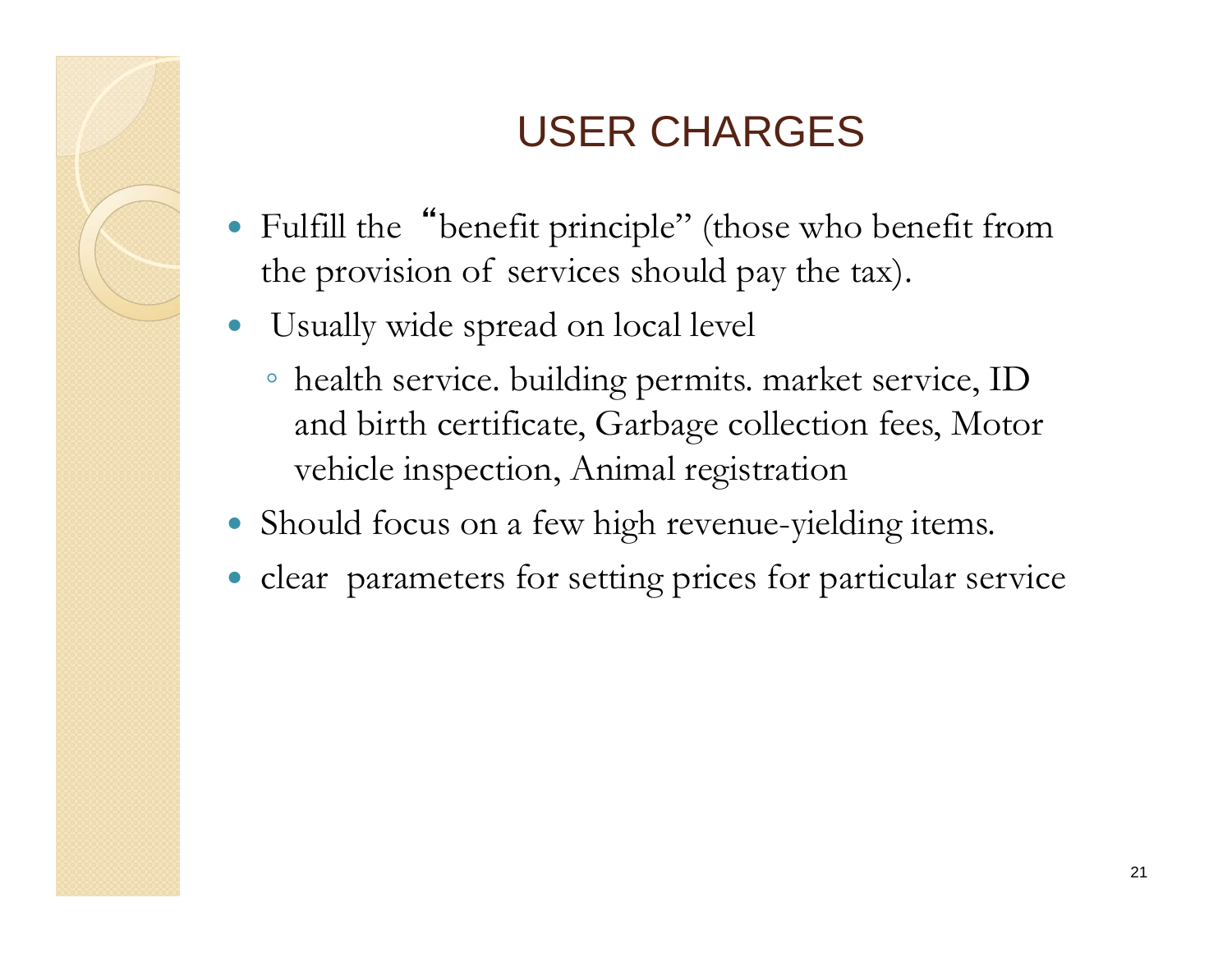#### USER CHARGES

- $\bullet$  Fulfill the"benefit principle" (those who benefit from the provision of services should pay the tax).
- $\bullet$  Usually wide spread on local level
	- health service. building permits. market service, ID and birth certificate, Garbage collection fees, Motor vehicle inspection, Animal registration
- Should focus on a few high revenue-yielding items.
- $\bullet$ clear parameters for setting prices for particular service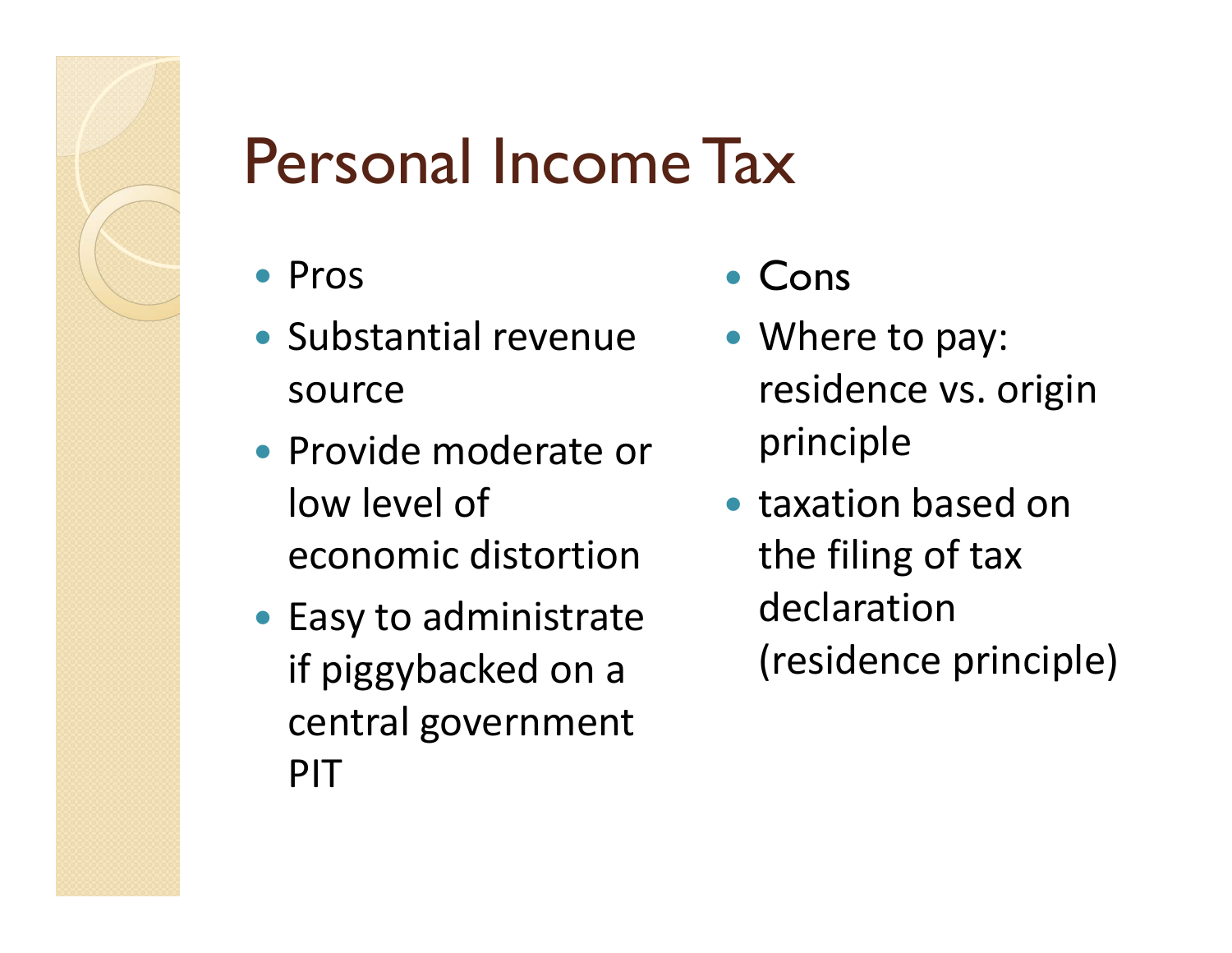

#### Personal Income Tax

- Pros
- Substantial revenue source
- Provide moderate or low level of economic distortion
- Easy to administrate if piggybacked on a central government PIT
- $\bullet$ Cons
- Where to pay: residence vs. origin principle
- taxation based on the filing of tax declaration (residence principle)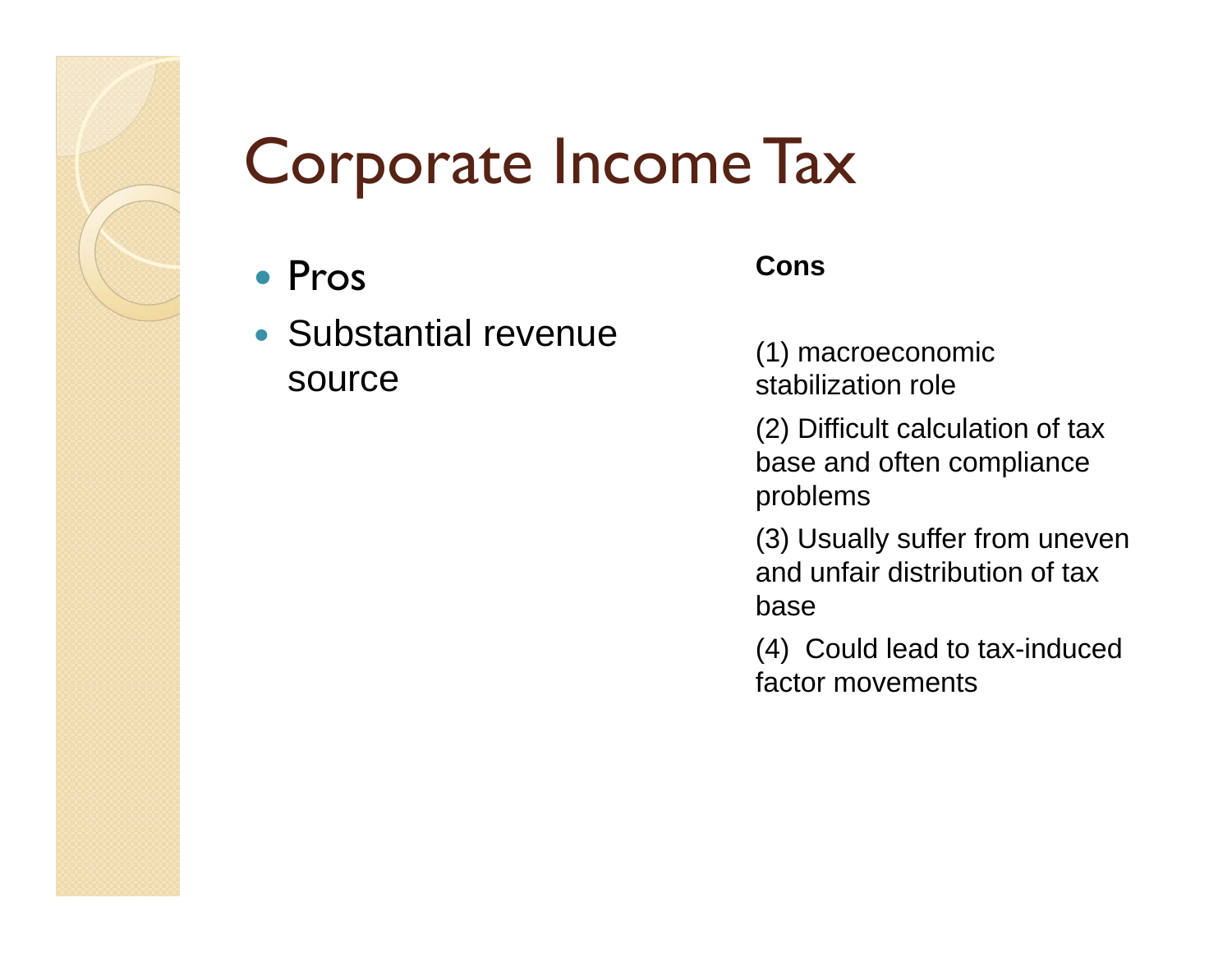#### Corporate Income Tax

- Pros
- Substantial revenue source

#### **Cons**

(1) macroeconomic stabilization role

(2) Difficult calculation of tax base and often compliance problems

(3) Usually suffer from uneven and unfair distribution of tax base

(4) Could lead to tax-induced factor movements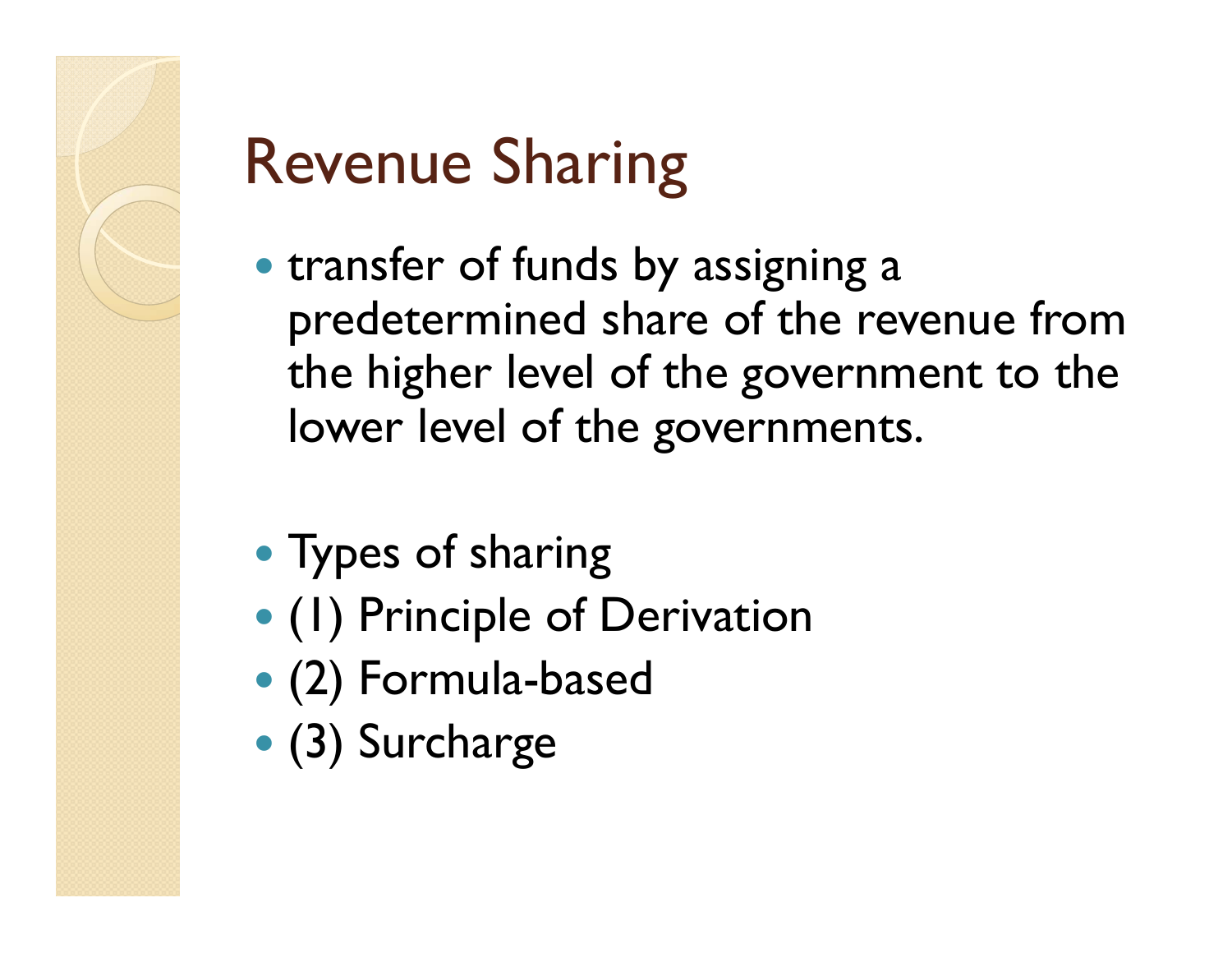

# Revenue Sharing

- transfer of funds by assigning a predetermined share of the revenue from the higher level of the government to the lower level of the governments.
- Types of sharing
- (1) Principle of Derivation
- (2) Formula-based
- (3) Surcharge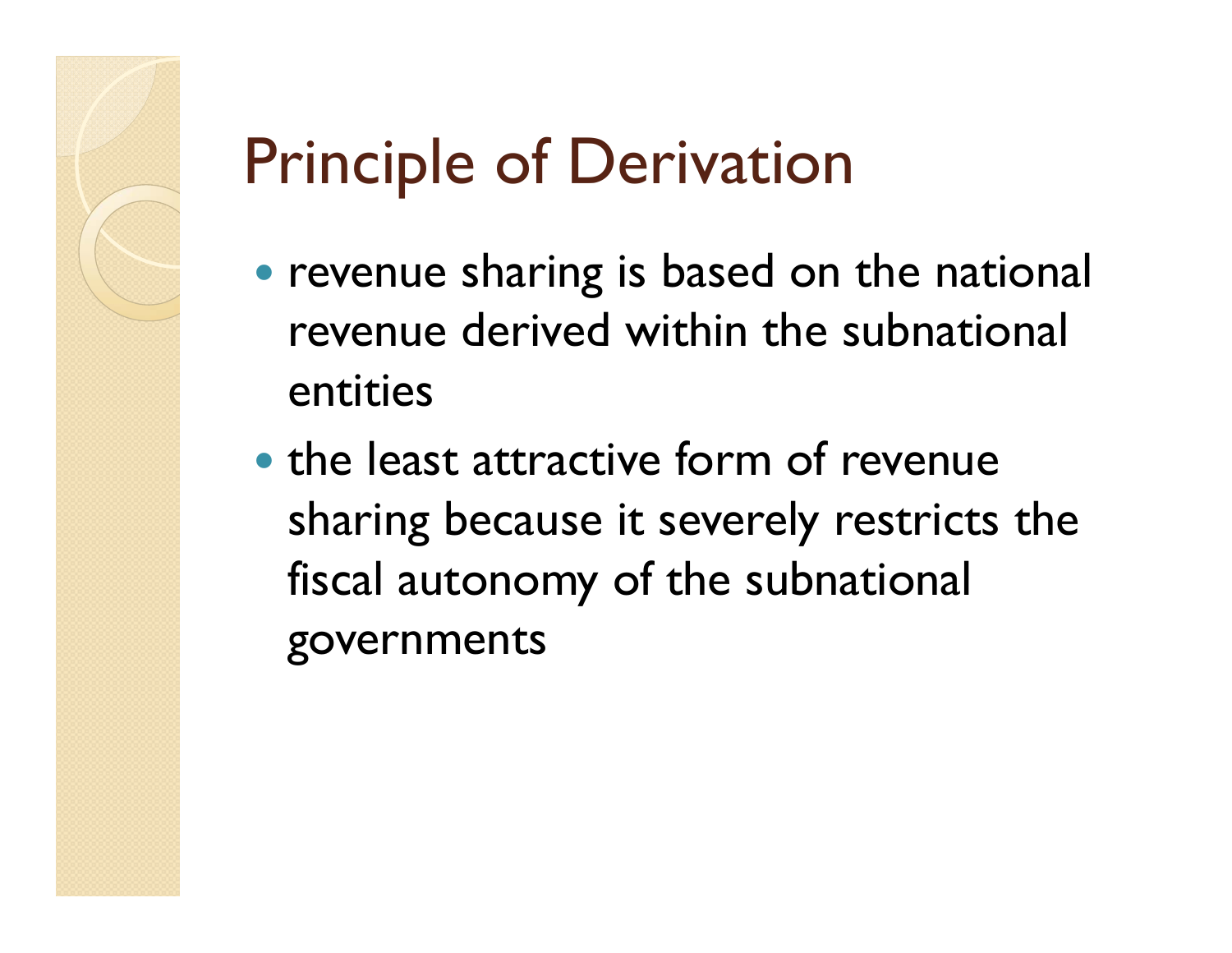## Principle of Derivation

- revenue sharing is based on the national revenue derived within the subnational entities
- the least attractive form of revenue sharing because it severely restricts the fiscal autonomy of the subnational governments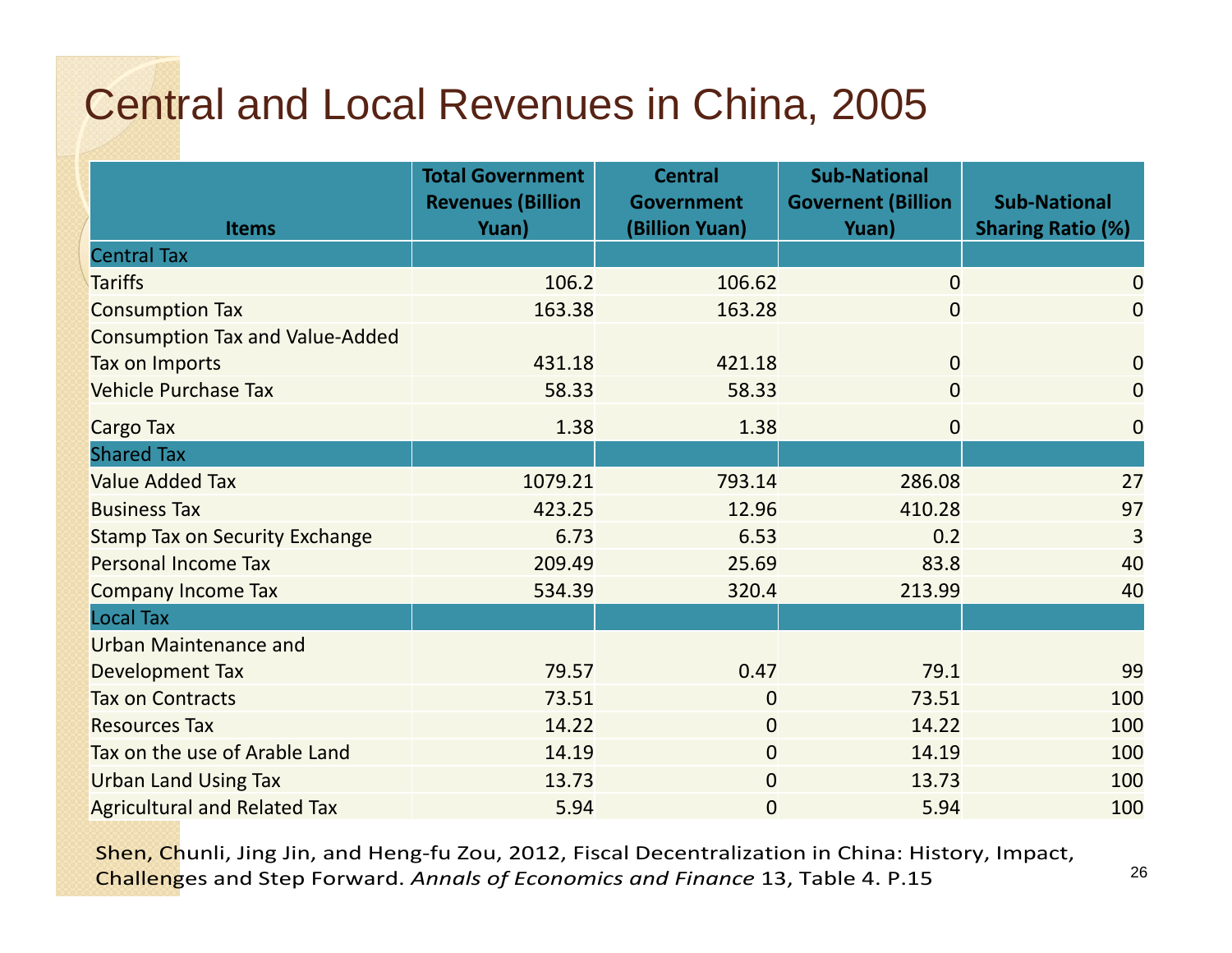#### Central and Local Revenues in China, 2005

| <b>Items</b>                           | <b>Total Government</b><br><b>Revenues (Billion</b><br>Yuan) | <b>Central</b><br><b>Government</b><br>(Billion Yuan) | <b>Sub-National</b><br><b>Governent (Billion</b><br>Yuan) | <b>Sub-National</b><br><b>Sharing Ratio (%)</b> |
|----------------------------------------|--------------------------------------------------------------|-------------------------------------------------------|-----------------------------------------------------------|-------------------------------------------------|
| <b>Central Tax</b>                     |                                                              |                                                       |                                                           |                                                 |
| <b>Tariffs</b>                         | 106.2                                                        | 106.62                                                | $\overline{0}$                                            | $\overline{0}$                                  |
| <b>Consumption Tax</b>                 | 163.38                                                       | 163.28                                                | $\overline{0}$                                            | $\overline{0}$                                  |
| <b>Consumption Tax and Value-Added</b> |                                                              |                                                       |                                                           |                                                 |
| Tax on Imports                         | 431.18                                                       | 421.18                                                | $\overline{0}$                                            | $\overline{0}$                                  |
| <b>Vehicle Purchase Tax</b>            | 58.33                                                        | 58.33                                                 | $\overline{0}$                                            | $\overline{0}$                                  |
| <b>Cargo Tax</b>                       | 1.38                                                         | 1.38                                                  | $\overline{0}$                                            | $\overline{0}$                                  |
| <b>Shared Tax</b>                      |                                                              |                                                       |                                                           |                                                 |
| <b>Value Added Tax</b>                 | 1079.21                                                      | 793.14                                                | 286.08                                                    | 27                                              |
| <b>Business Tax</b>                    | 423.25                                                       | 12.96                                                 | 410.28                                                    | 97                                              |
| <b>Stamp Tax on Security Exchange</b>  | 6.73                                                         | 6.53                                                  | 0.2                                                       | 3                                               |
| Personal Income Tax                    | 209.49                                                       | 25.69                                                 | 83.8                                                      | 40                                              |
| <b>Company Income Tax</b>              | 534.39                                                       | 320.4                                                 | 213.99                                                    | 40                                              |
| <b>Local Tax</b>                       |                                                              |                                                       |                                                           |                                                 |
| <b>Urban Maintenance and</b>           |                                                              |                                                       |                                                           |                                                 |
| Development Tax                        | 79.57                                                        | 0.47                                                  | 79.1                                                      | 99                                              |
| <b>Tax on Contracts</b>                | 73.51                                                        | $\overline{0}$                                        | 73.51                                                     | 100                                             |
| <b>Resources Tax</b>                   | 14.22                                                        | $\overline{0}$                                        | 14.22                                                     | 100                                             |
| Tax on the use of Arable Land          | 14.19                                                        | $\overline{0}$                                        | 14.19                                                     | 100                                             |
| <b>Urban Land Using Tax</b>            | 13.73                                                        | $\overline{0}$                                        | 13.73                                                     | 100                                             |
| <b>Agricultural and Related Tax</b>    | 5.94                                                         | $\overline{0}$                                        | 5.94                                                      | 100                                             |

Shen, Chunli, Jing Jin, and Heng-fu Zou, 2012, Fiscal Decentralization in China: History, Impact, Challenges and Step Forward. *Annals of Economics and Finance* 13, Table 4. P.15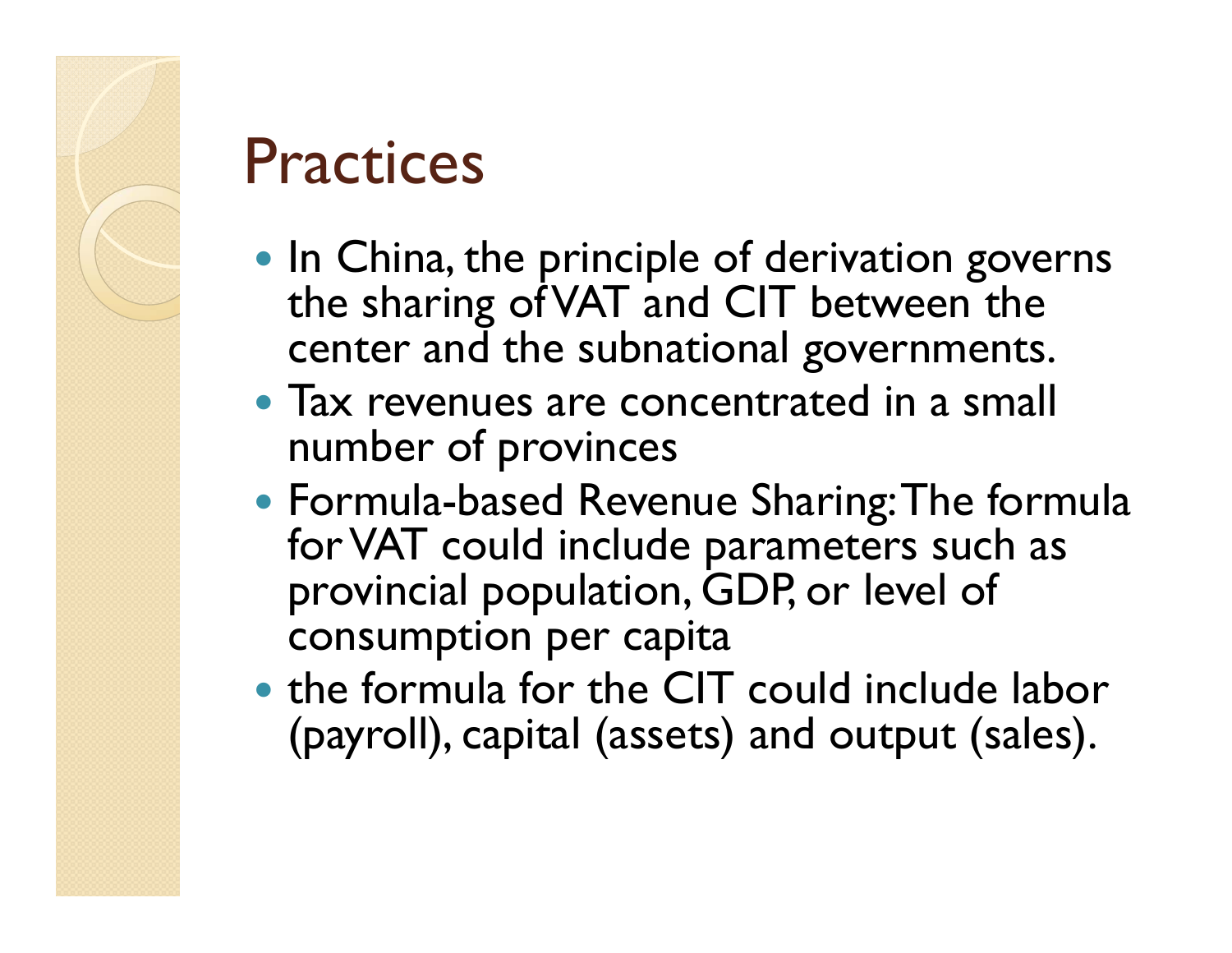

#### **Practices**

- In China, the principle of derivation governs the sharing of VAT and CIT between the center and the subnational governments.
- Tax revenues are concentrated in a small number of provinces
- Formula-based Revenue Sharing: The formula for VAT could include parameters such as provincial population, GDP, or level of consumption per capita
- the formula for the CIT could include labor (payroll), capital (assets) and output (sales).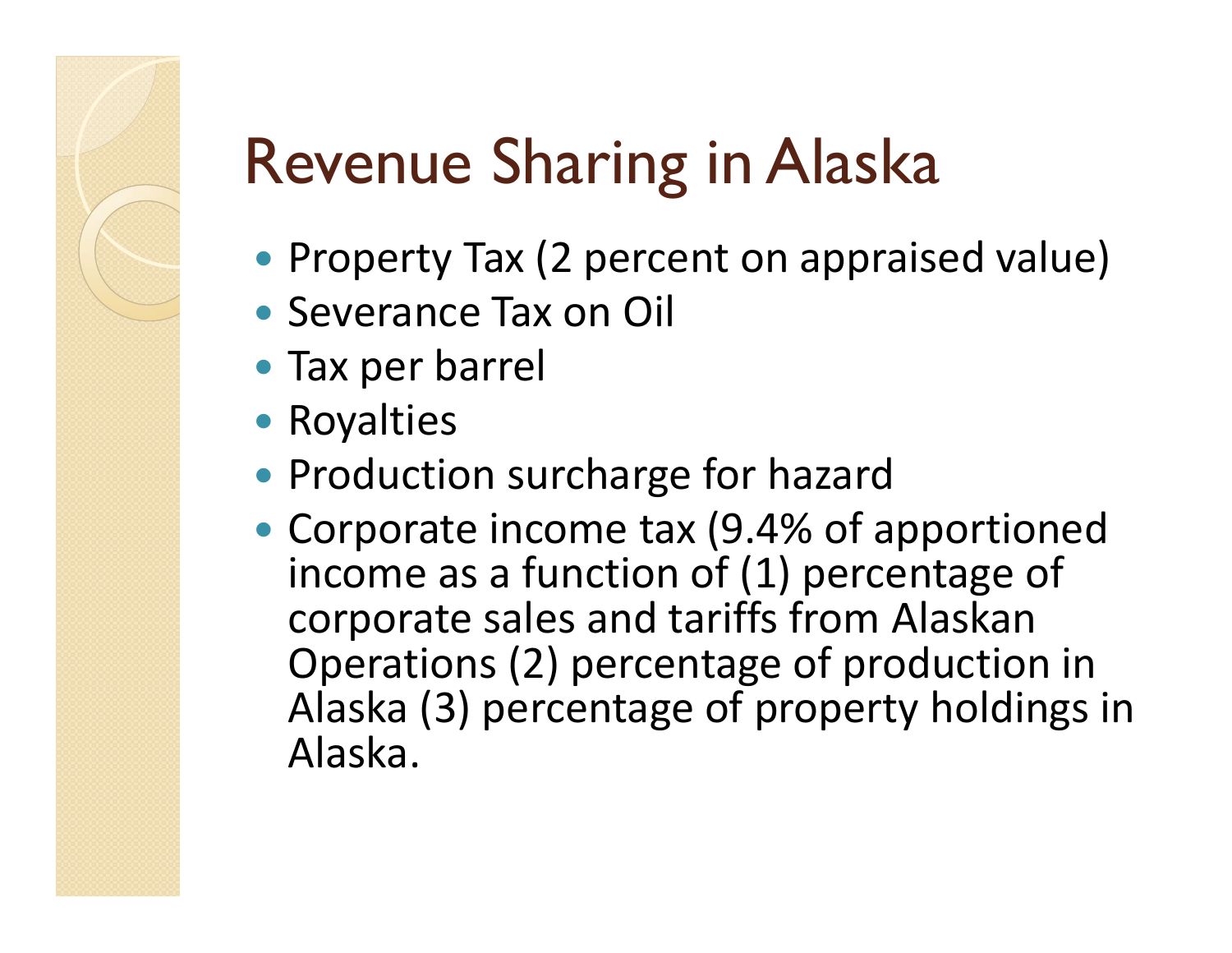# Revenue Sharing in Alaska

- Property Tax (2 percent on appraised value)
- Severance Tax on Oil
- Tax per barrel
- Royalties
- Production surcharge for hazard
- Corporate income tax (9.4% of apportioned income as a function of (1) percentage of corporate sales and tariffs from Alaskan Operations (2) percentage of production in Alaska (3) percentage of property holdings in Alaska.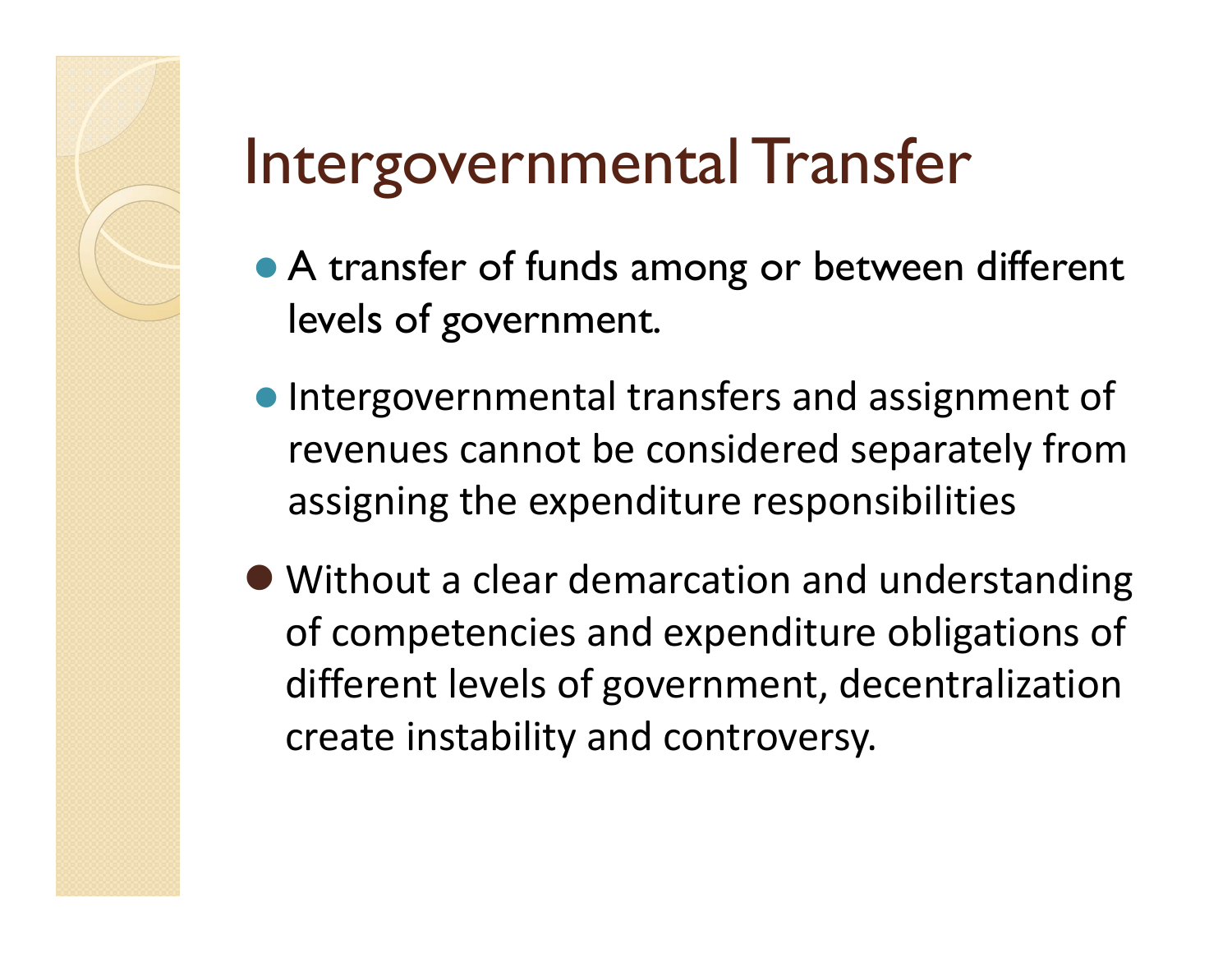## Intergovernmental Transfer

- A transfer of funds among or between different levels of government.
- **Intergovernmental transfers and assignment of** revenues cannot be considered separately from assigning the expenditure responsibilities
- Without a clear demarcation and understanding of competencies and expenditure obligations of different levels of government, decentralization create instability and controversy.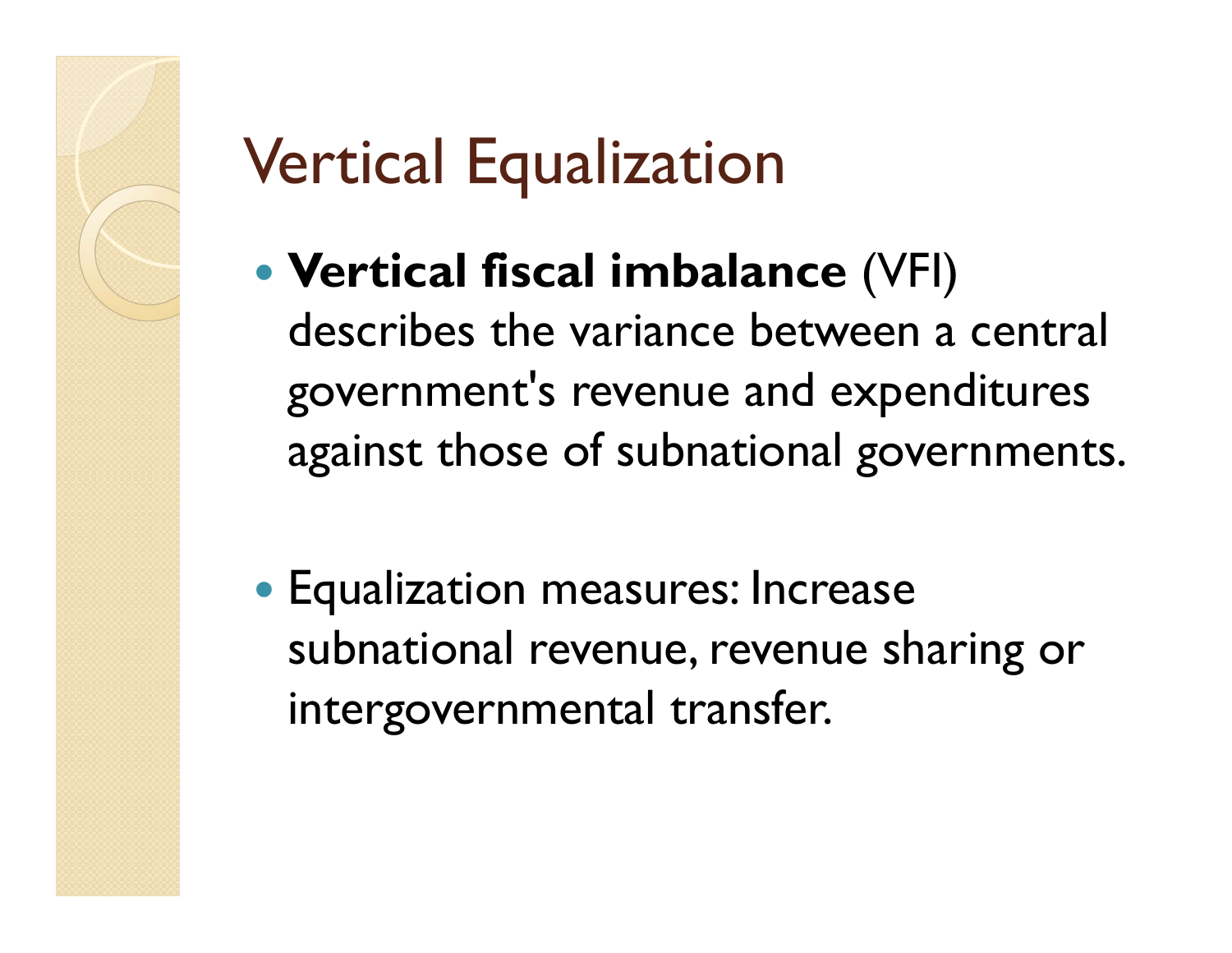# Vertical Equalization

- **Vertical fiscal imbalance** (VFI) describes the variance between a central governmen<sup>t</sup>'s revenue and expenditures against those of subnational governments.
- Equalization measures: Increase subnational revenue, revenue sharing or intergovernmental transfer.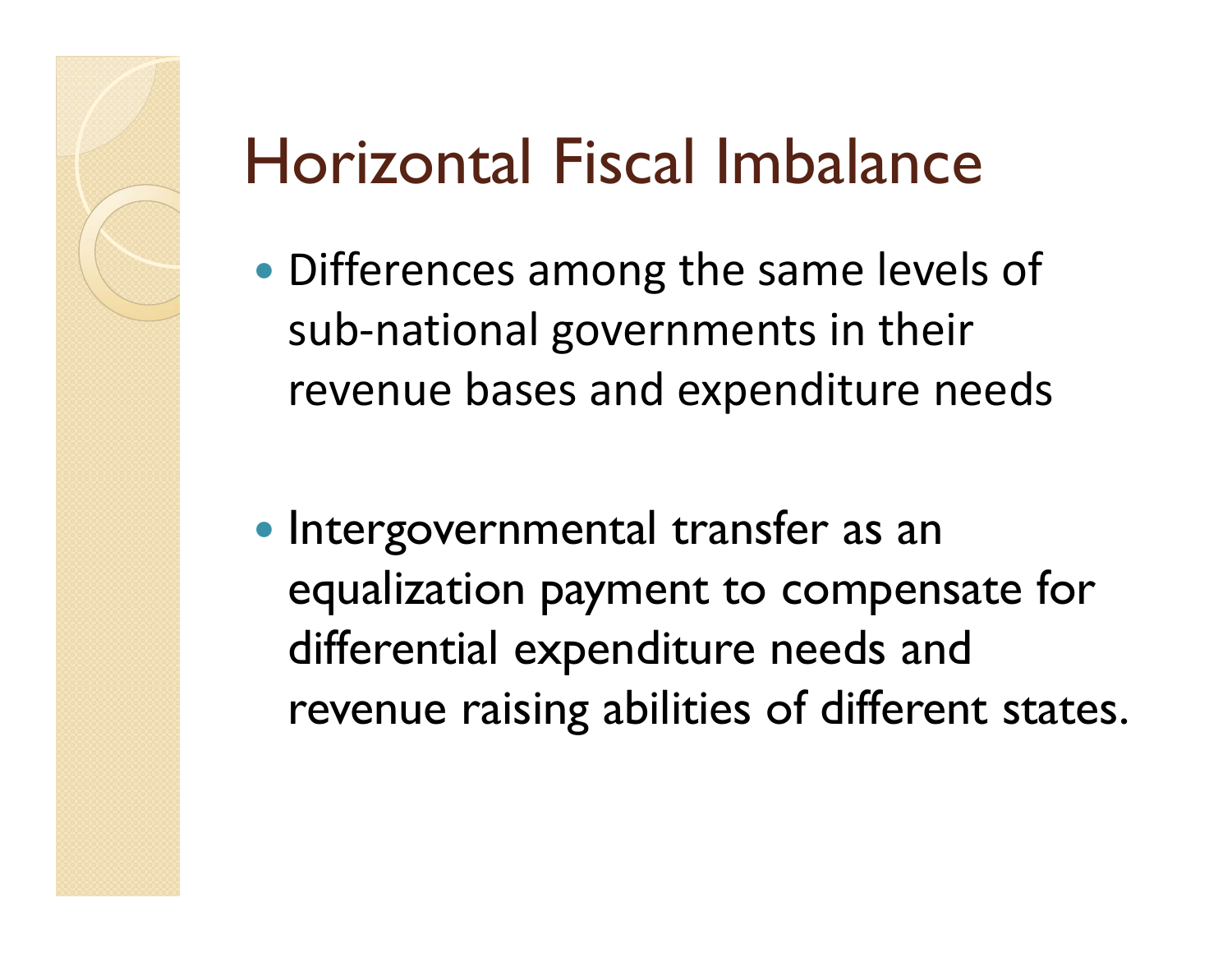## Horizontal Fiscal Imbalance

- Differences among the same levels of sub-national governments in their revenue bases and expenditure needs
- Intergovernmental transfer as an equalization payment to compensate for differential expenditure needs and revenue raising abilities of different states.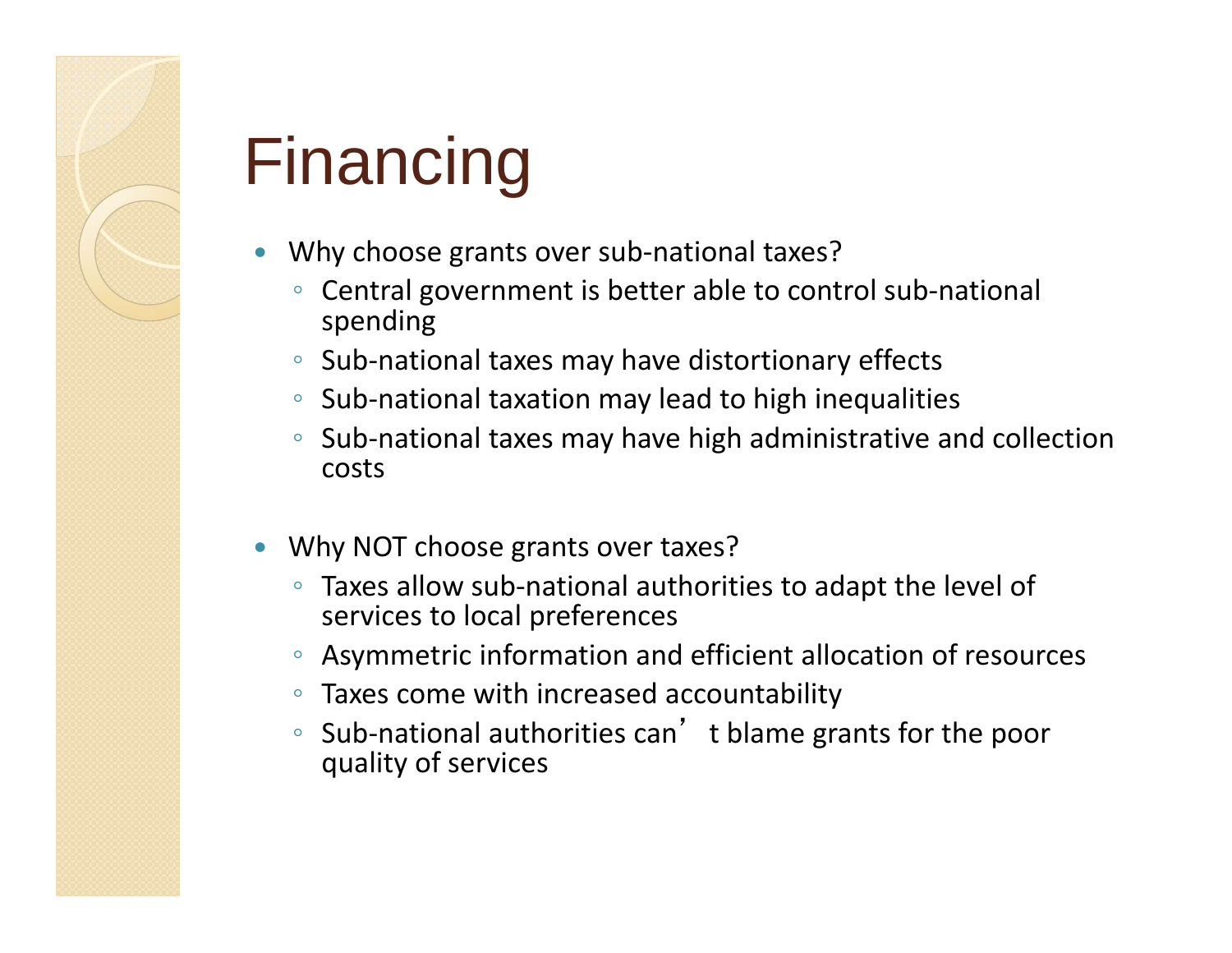

## Financing

- $\bullet$  Why choose grants over sub-national taxes?
	- Central government is better able to control sub-national spending
	- Sub-national taxes may have distortionary effects
	- Sub-national taxation may lead to high inequalities
	- Sub-national taxes may have high administrative and collection costs
- $\bullet$  Why NOT choose grants over taxes?
	- Taxes allow sub-national authorities to adapt the level of services to local preferences
	- Asymmetric information and efficient allocation of resources
	- Taxes come with increased accountability
	- Sub-national authorities can't blame grants for the poor quality of services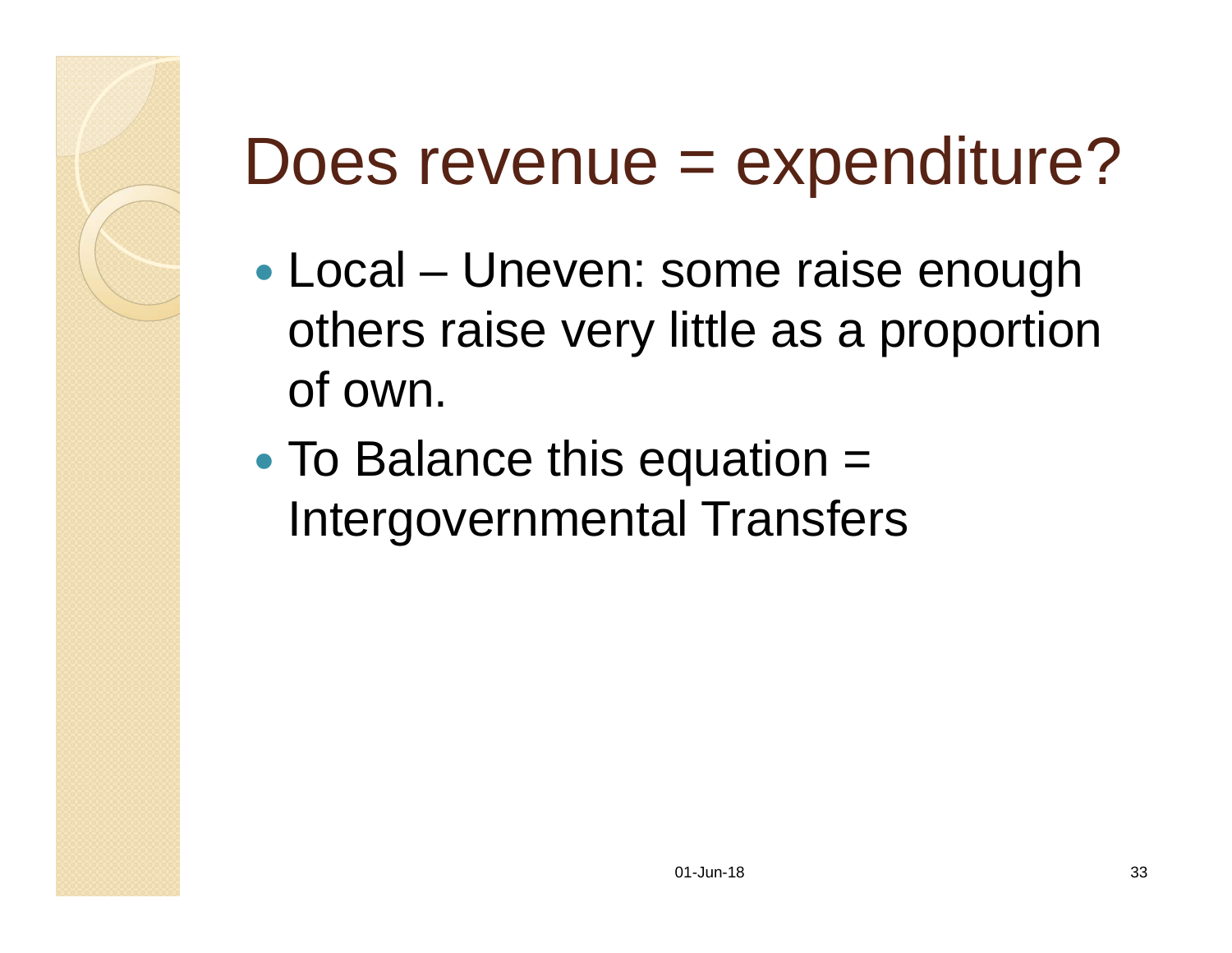# Does revenue = expenditure?

- $\bullet$  Local – Uneven: some raise enough others raise very little as a proportion of own.
- $\bullet$ • To Balance this equation = Intergovernmental Transfers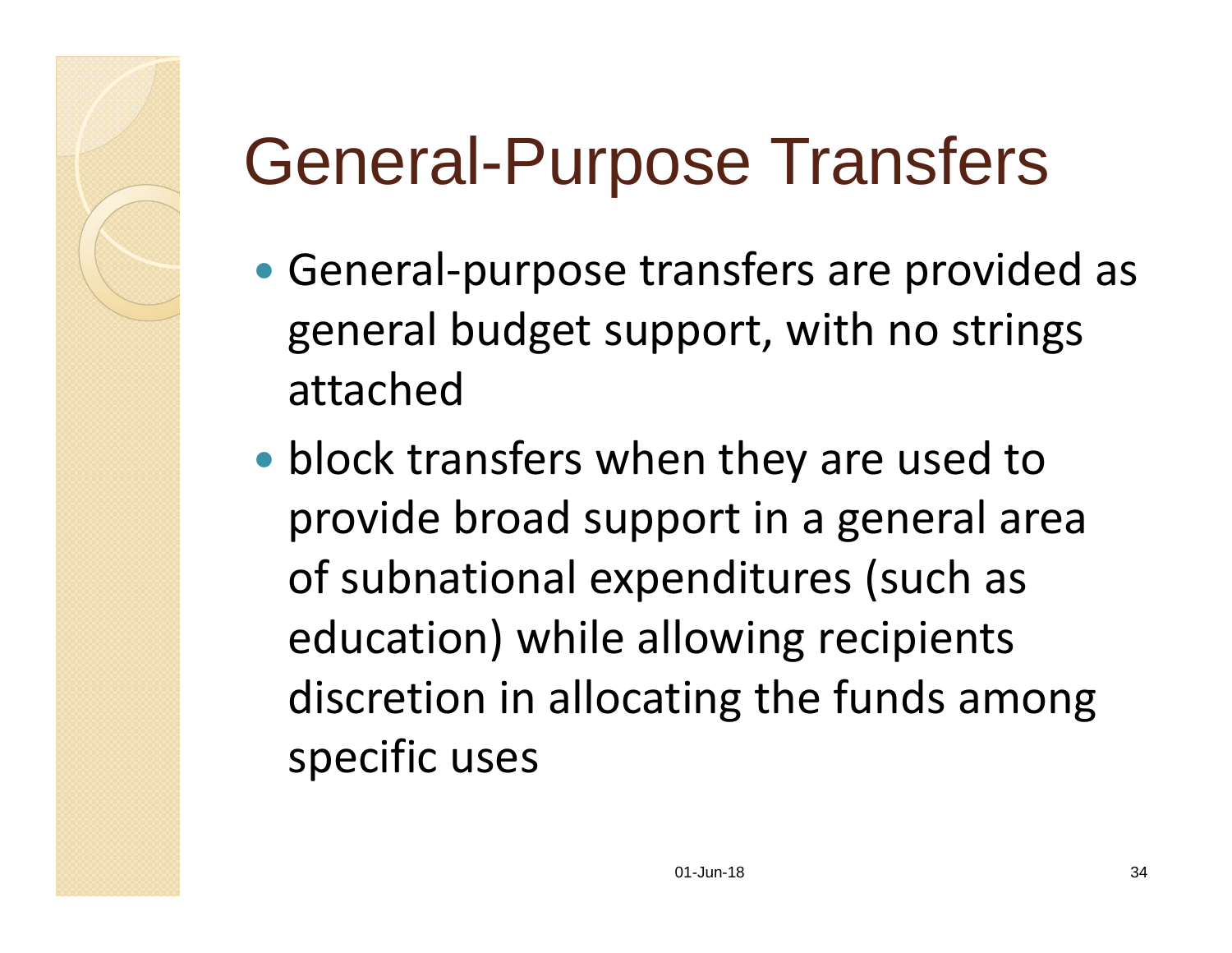# General-Purpose Transfers

- General-purpose transfers are provided as general budget support, with no strings attached
- block transfers when they are used to provide broad support in a general area of subnational expenditures (such as education) while allowing recipients discretion in allocating the funds among specific uses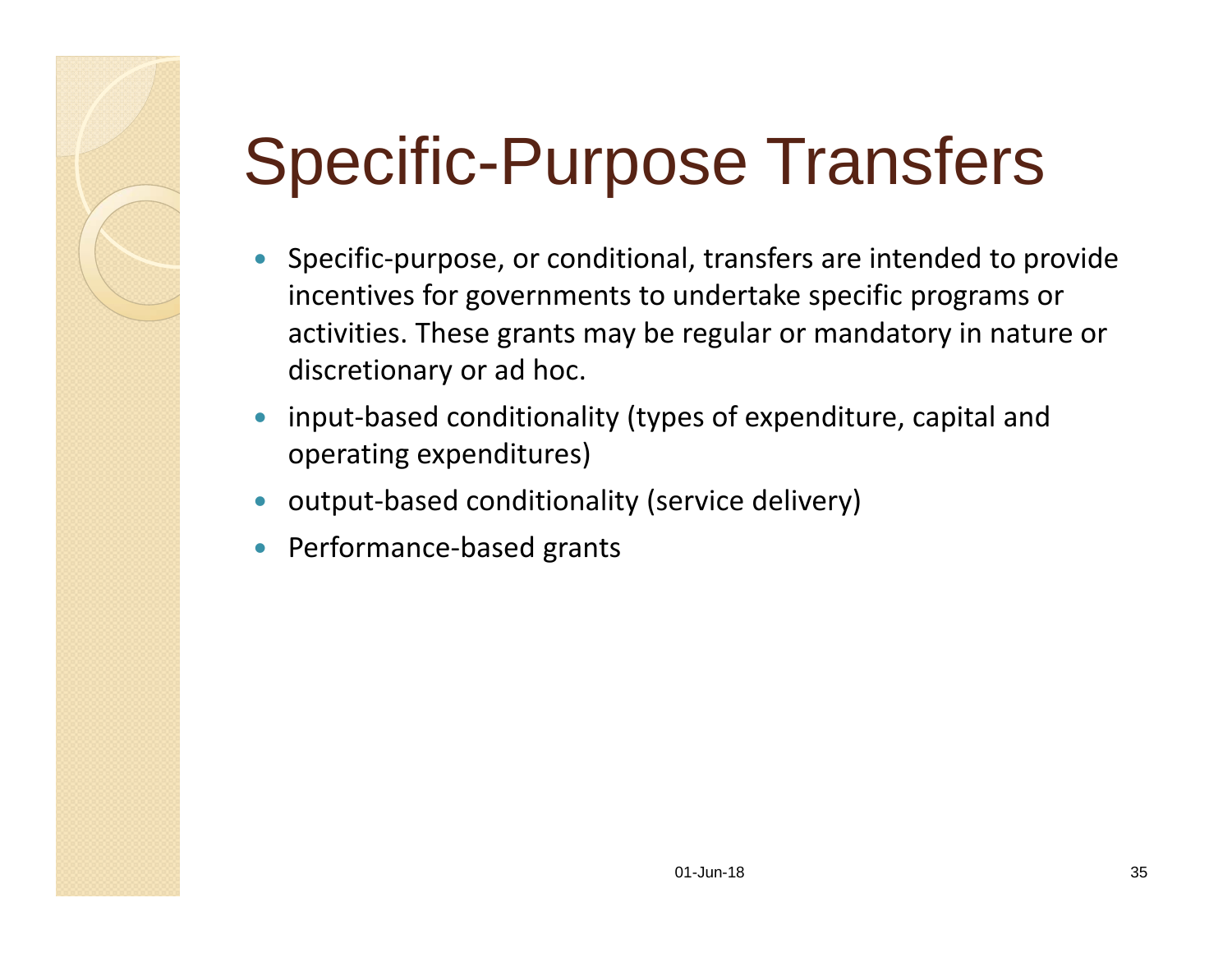# Specific-Purpose Transfers

- $\bullet$  Specific-purpose, or conditional, transfers are intended to provide incentives for governments to undertake specific programs or activities. These grants may be regular or mandatory in nature or discretionary or ad hoc.
- $\bullet$  input-based conditionality (types of expenditure, capital and operating expenditures)
- $\bullet$ output-based conditionality (service delivery)
- $\bullet$ Performance-based grants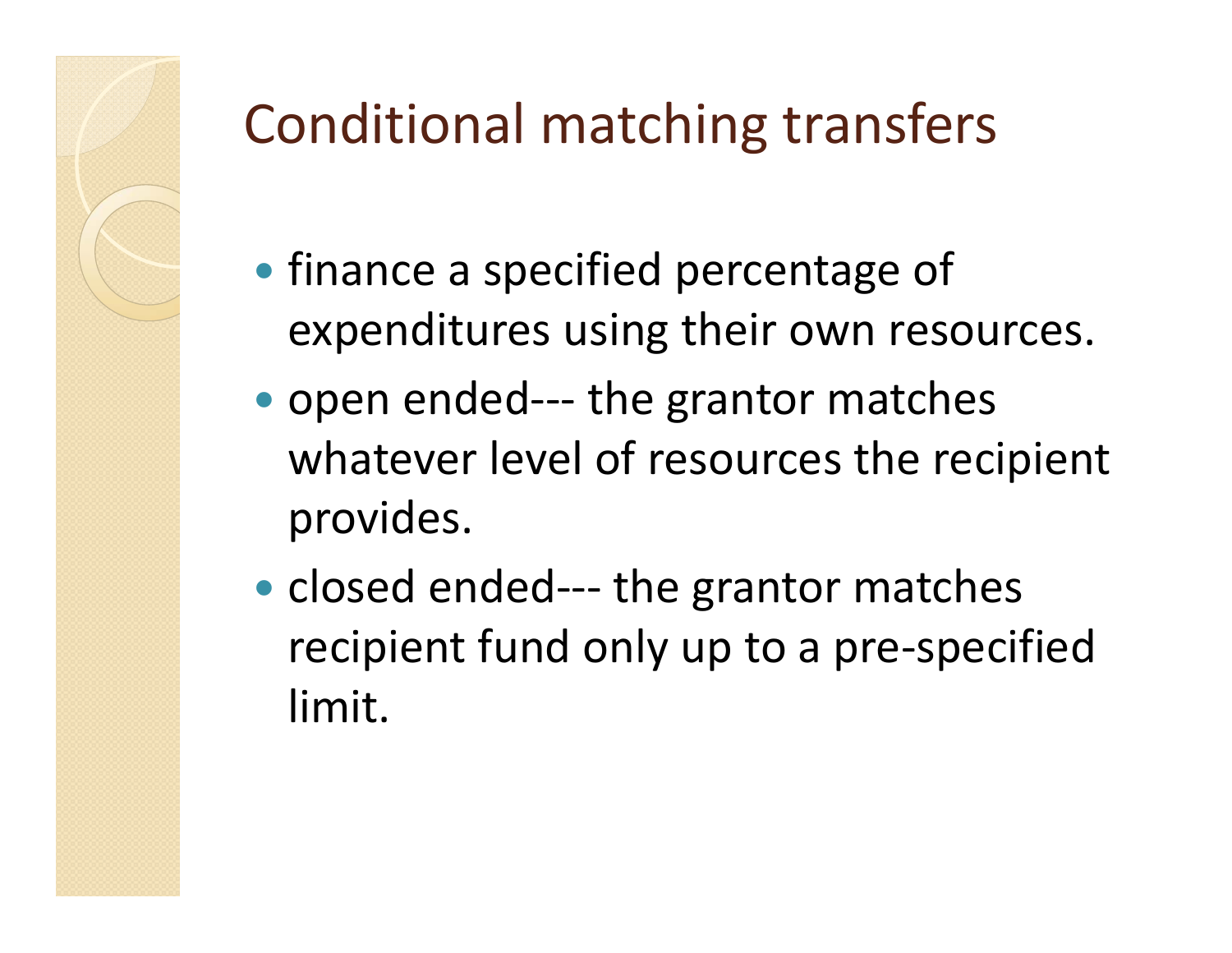#### Conditional matching transfers

- **finance a specified percentage of** expenditures using their own resources.
- open ended--- the grantor matches whatever level of resources the recipient provides.
- closed ended--- the grantor matches recipient fund only up to a pre-specified limit.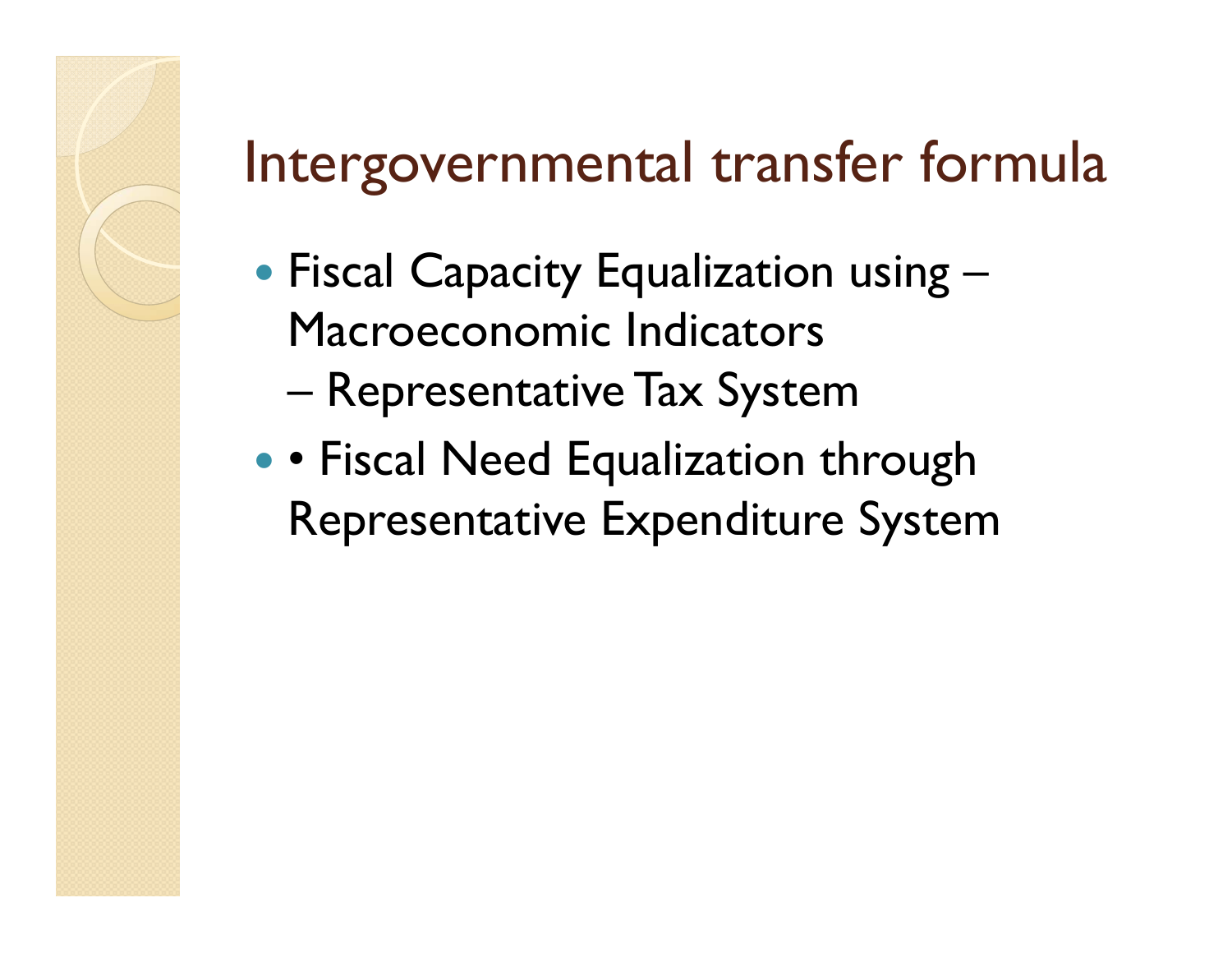#### Intergovernmental transfer formula

- Fiscal Capacity Equalization using Macroeconomic Indicators
	- –Representative Tax System
- • Fiscal Need Equalization through Representative Expenditure System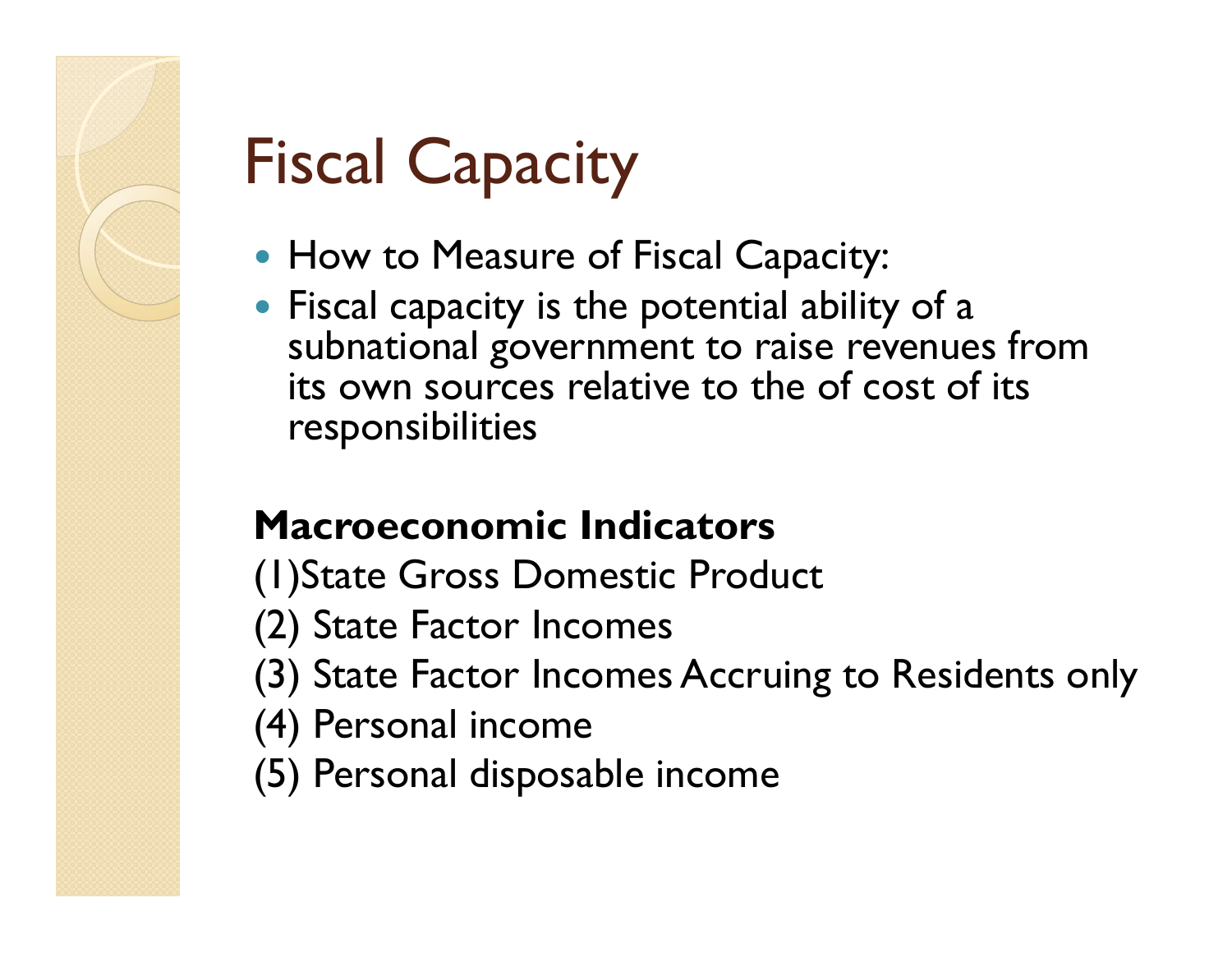

## Fiscal Capacity

- How to Measure of Fiscal Capacity:
- Fiscal capacity is the potential ability of a subnational government to raise revenues from its own sources relative to the of cost of its responsibilities

#### **Macroeconomic Indicators**

- (1)State Gross Domestic Product
- (2) State Factor Incomes
- (3) State Factor Incomes Accruing to Residents only
- (4) Personal income
- (5) Personal disposable income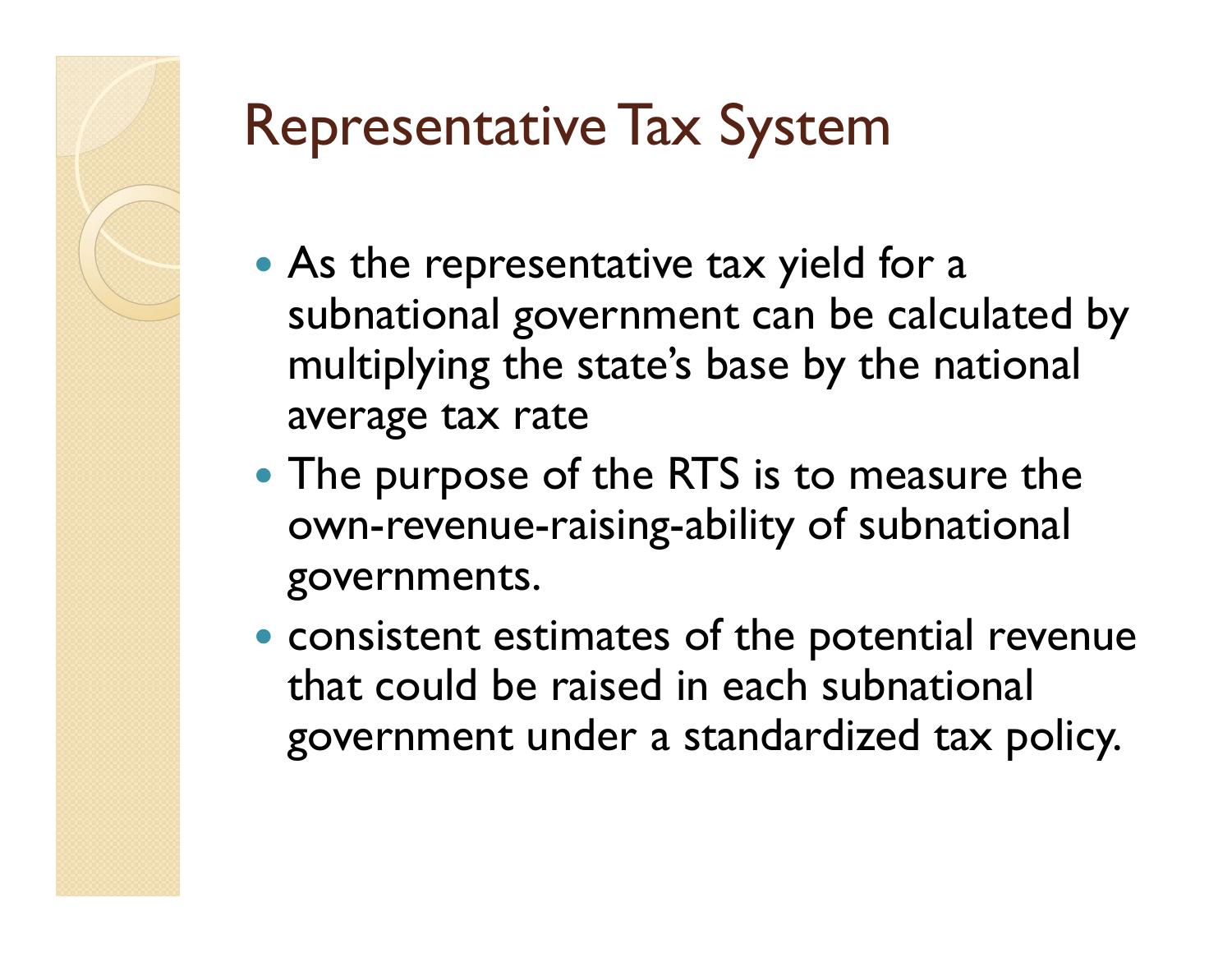# Representative Tax System

- As the representative tax yield for a subnational government can be calculated by multiplying the state's base by the national average tax rate
- The purpose of the RTS is to measure the own-revenue-raising-ability of subnational governments.
- consistent estimates of the potential revenue that could be raised in each subnational government under a standardized tax policy.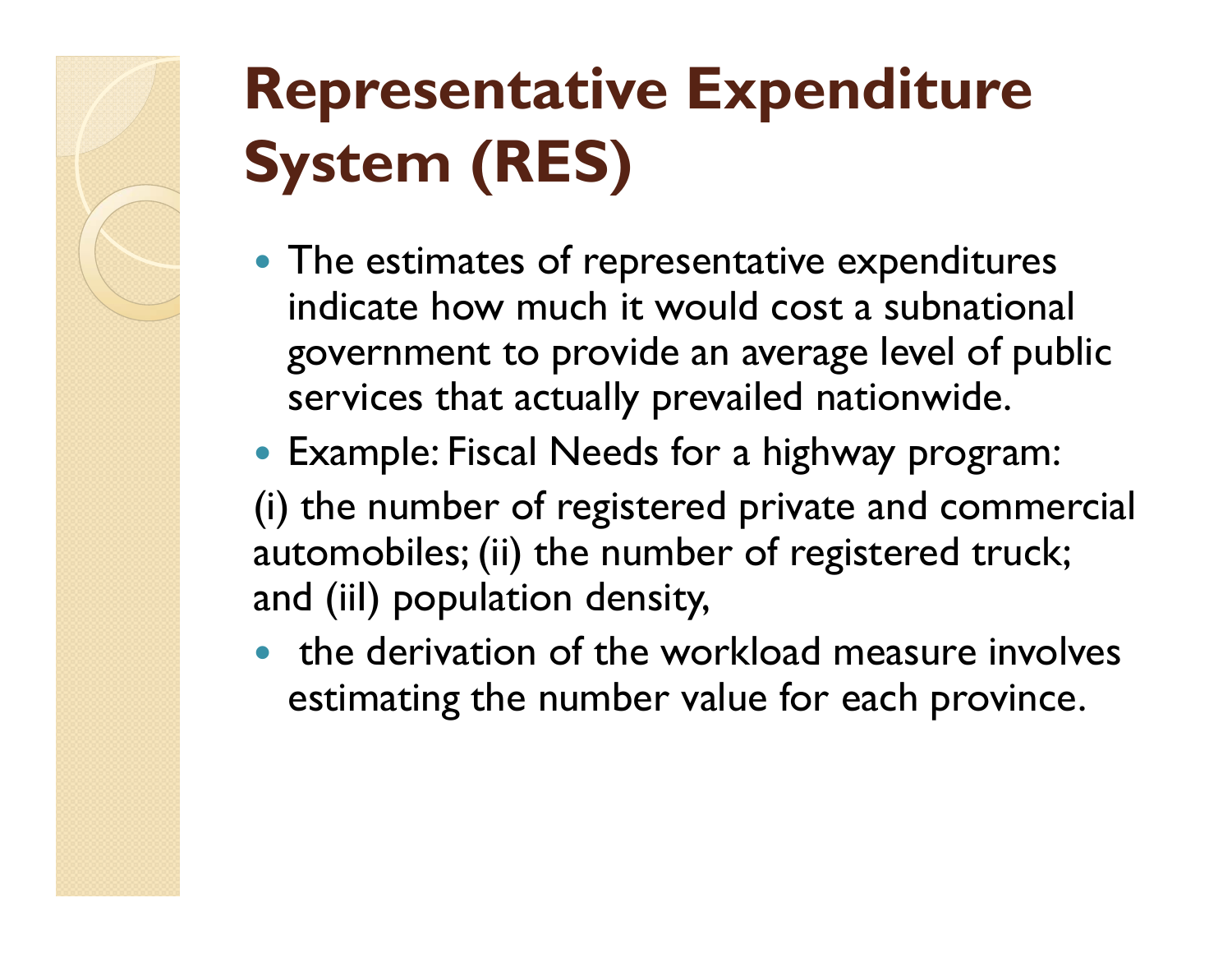# **Representative Expenditure System (RES)**

- The estimates of representative expenditures indicate how much it would cost a subnational government to provide an average level of public services that actually prevailed nationwide.
- Example: Fiscal Needs for a highway program:

(i) the number of registered private and commercial automobiles; (ii) the number of registered truck; and (iiI) population density,

• the derivation of the workload measure involves estimating the number value for each province.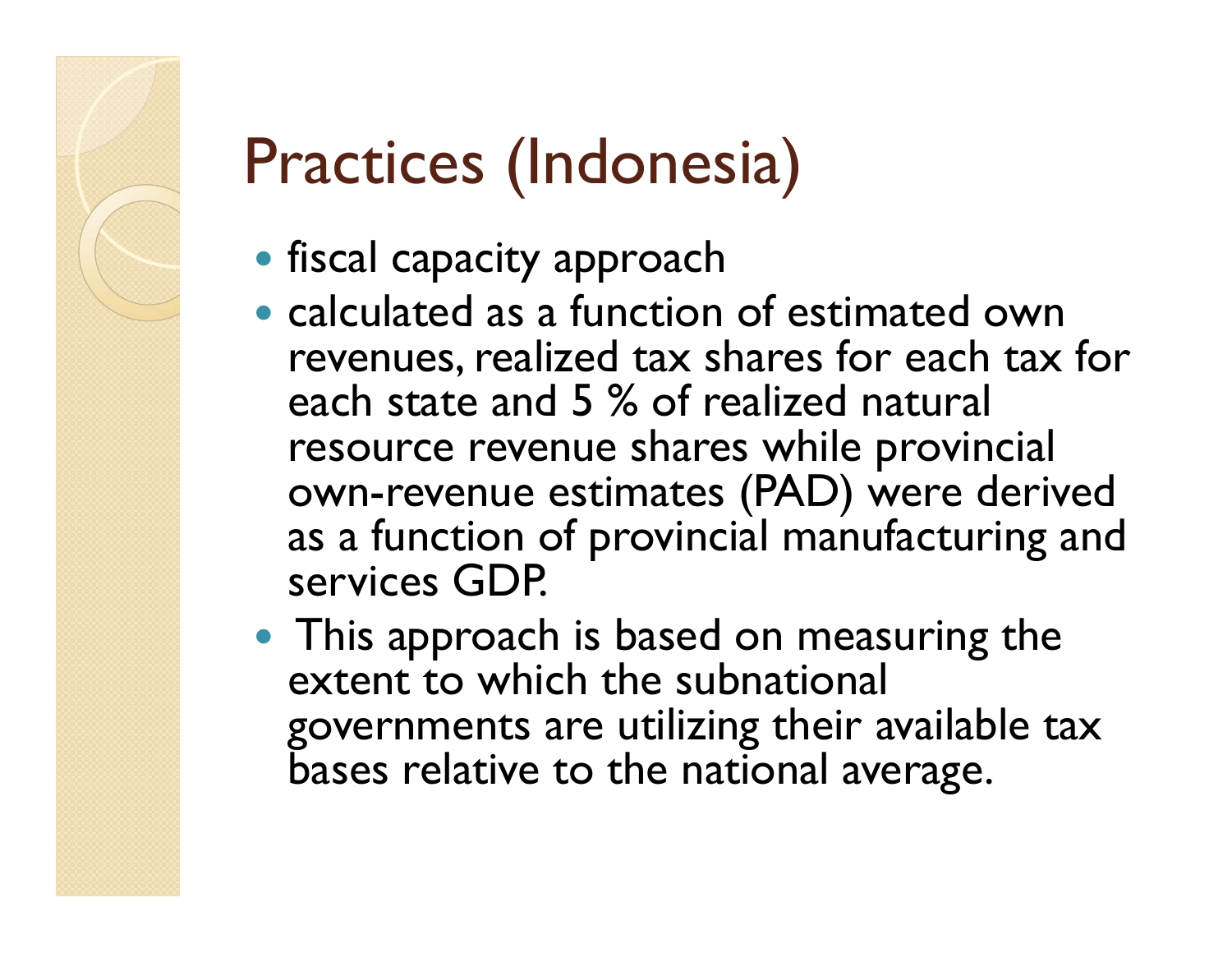# Practices (Indonesia)

- **fiscal capacity approach**
- calculated as a function of estimated own revenues, realized tax shares for each tax for each state and 5 % of realized natural resource revenue shares while provincial own-revenue estimates (PAD) were derived as a function of provincial manufacturing and services GDP.
- This approach is based on measuring the extent to which the subnational governments are utilizing their available tax bases relative to the national average.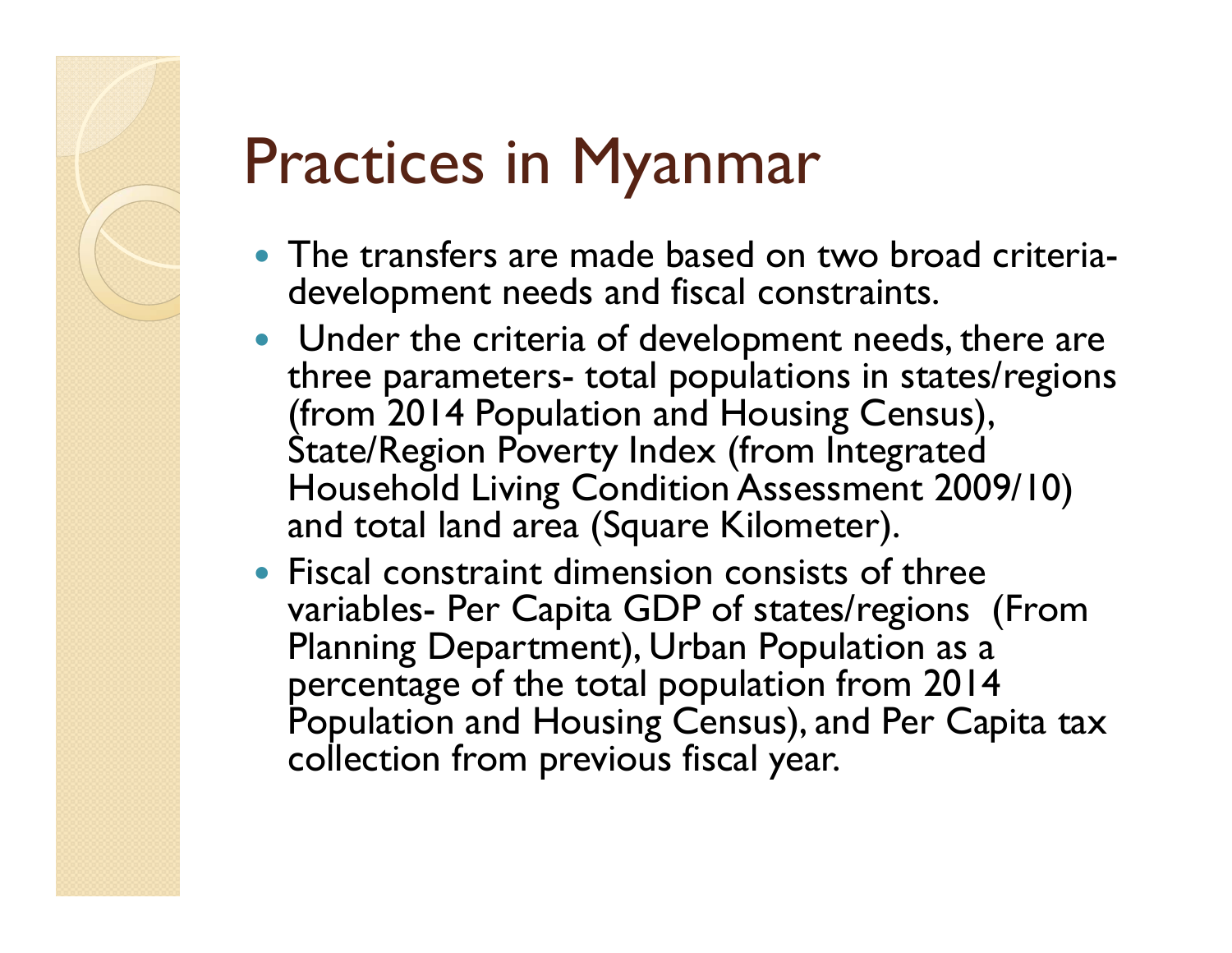## Practices in Myanmar

- The transfers are made based on two broad criteriadevelopment needs and fiscal constraints.
- Under the criteria of development needs, there are three parameters- total populations in states/regions (from 2014 Population and Housing Census), State/Region Poverty Index (from Integrated Household Living Condition Assessment 2009/10) and total land area (Square Kilometer).
- Fiscal constraint dimension consists of three variables- Per Capita GDP of states/regions (From Planning Department), Urban Population as a percentage of the total population from 2014 Population and Housing Census), and Per Capita tax collection from previous fiscal year.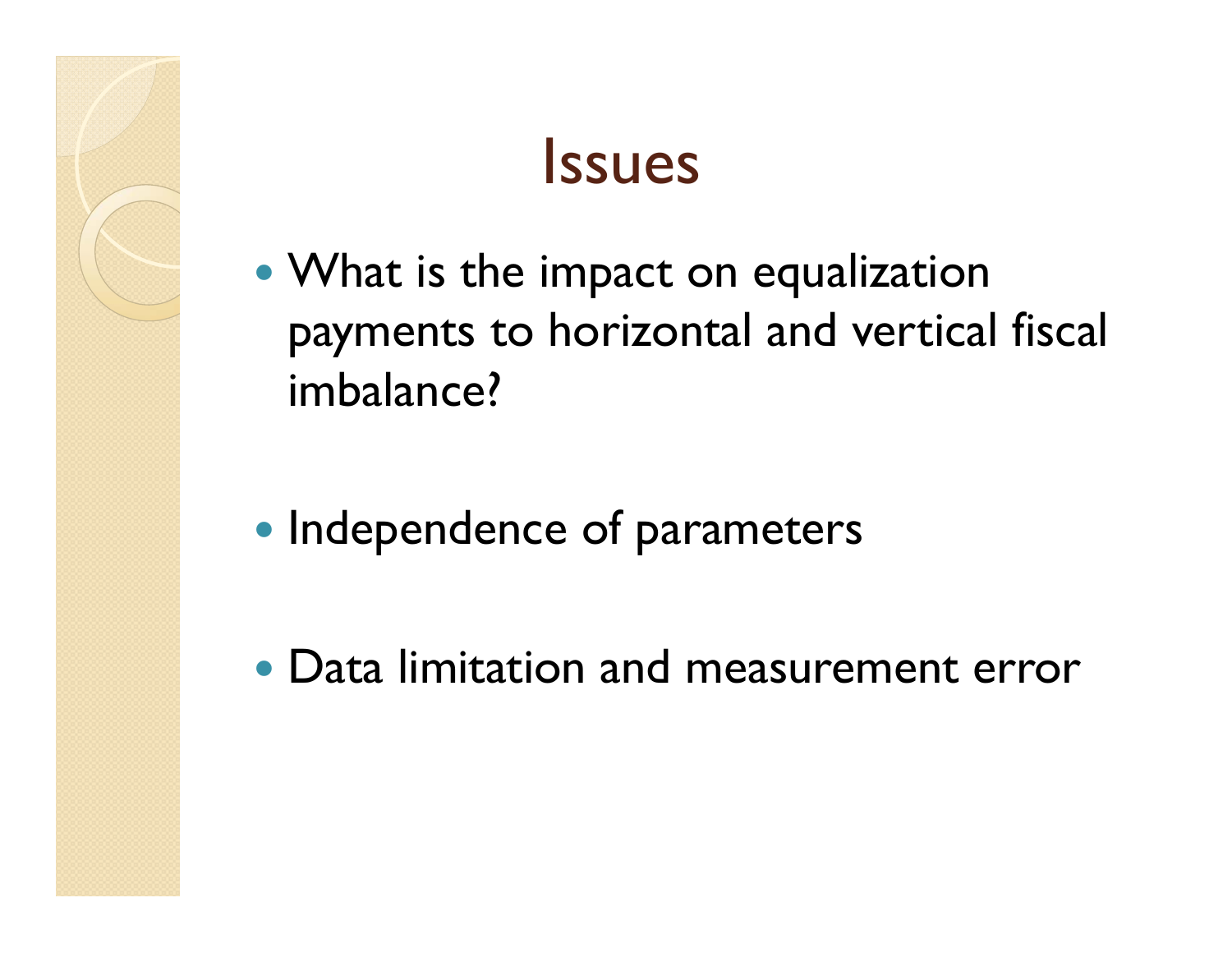#### **Issues**

- What is the impact on equalization payments to horizontal and vertical fiscal imbalance?
- Independence of parameters
- Data limitation and measurement error